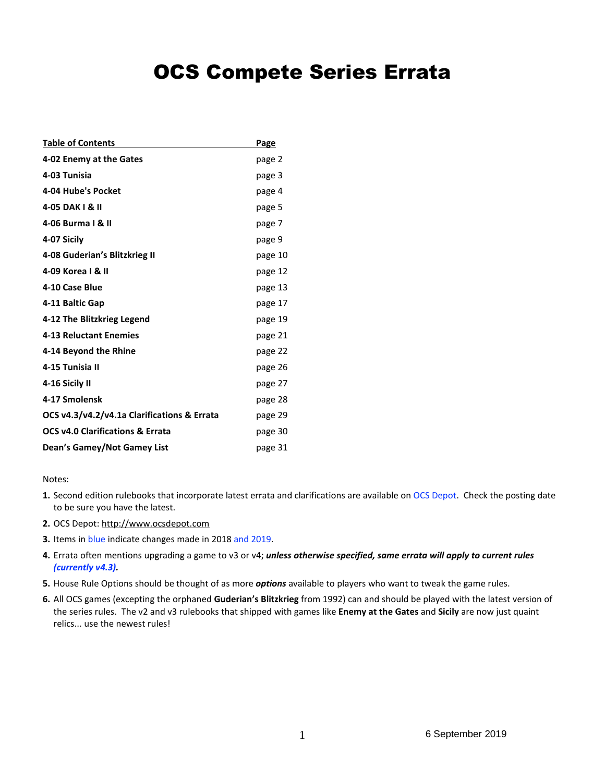# OCS Compete Series Errata

| <b>Table of Contents</b>                    | <b>Page</b> |
|---------------------------------------------|-------------|
| 4-02 Enemy at the Gates                     | page 2      |
| 4-03 Tunisia                                | page 3      |
| 4-04 Hube's Pocket                          | page 4      |
| 4-05 DAK   & II                             | page 5      |
| 4-06 Burma I & II                           | page 7      |
| 4-07 Sicily                                 | page 9      |
| 4-08 Guderian's Blitzkrieg II               | page 10     |
| 4-09 Korea   & II                           | page 12     |
| 4-10 Case Blue                              | page 13     |
| 4-11 Baltic Gap                             | page 17     |
| 4-12 The Blitzkrieg Legend                  | page 19     |
| <b>4-13 Reluctant Enemies</b>               | page 21     |
| 4-14 Beyond the Rhine                       | page 22     |
| 4-15 Tunisia II                             | page 26     |
| 4-16 Sicily II                              | page 27     |
| 4-17 Smolensk                               | page 28     |
| OCS v4.3/v4.2/v4.1a Clarifications & Errata | page 29     |
| <b>OCS v4.0 Clarifications &amp; Errata</b> | page 30     |
| Dean's Gamey/Not Gamey List                 | page 31     |

Notes:

- **1.** Second edition rulebooks that incorporate latest errata and clarifications are available on OCS Depot. Check the posting date to be sure you have the latest.
- **2.** OCS Depot: http://www.ocsdepot.com
- **3.** Items in blue indicate changes made in 2018 and 2019.
- **4.** Errata often mentions upgrading a game to v3 or v4; *unless otherwise specified, same errata will apply to current rules (currently v4.3).*
- **5.** House Rule Options should be thought of as more *options* available to players who want to tweak the game rules.
- **6.** All OCS games (excepting the orphaned **Guderian's Blitzkrieg** from 1992) can and should be played with the latest version of the series rules. The v2 and v3 rulebooks that shipped with games like **Enemy at the Gates** and **Sicily** are now just quaint relics... use the newest rules!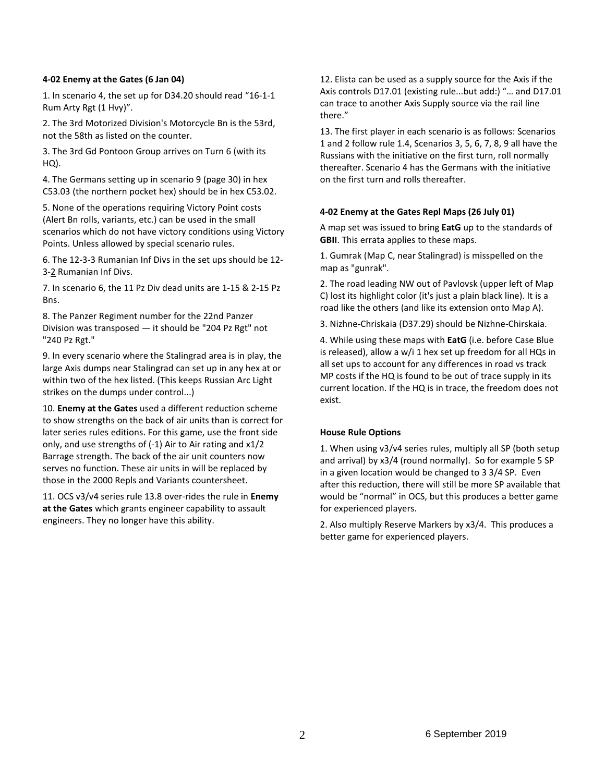## **4-02 Enemy at the Gates (6 Jan 04)**

1. In scenario 4, the set up for D34.20 should read "16-1-1 Rum Arty Rgt (1 Hvy)".

2. The 3rd Motorized Division's Motorcycle Bn is the 53rd, not the 58th as listed on the counter.

3. The 3rd Gd Pontoon Group arrives on Turn 6 (with its HQ).

4. The Germans setting up in scenario 9 (page 30) in hex C53.03 (the northern pocket hex) should be in hex C53.02.

5. None of the operations requiring Victory Point costs (Alert Bn rolls, variants, etc.) can be used in the small scenarios which do not have victory conditions using Victory Points. Unless allowed by special scenario rules.

6. The 12-3-3 Rumanian Inf Divs in the set ups should be 12- 3-2 Rumanian Inf Divs.

7. In scenario 6, the 11 Pz Div dead units are 1-15 & 2-15 Pz Bns.

8. The Panzer Regiment number for the 22nd Panzer Division was transposed — it should be "204 Pz Rgt" not "240 Pz Rgt."

9. In every scenario where the Stalingrad area is in play, the large Axis dumps near Stalingrad can set up in any hex at or within two of the hex listed. (This keeps Russian Arc Light strikes on the dumps under control...)

10. **Enemy at the Gates** used a different reduction scheme to show strengths on the back of air units than is correct for later series rules editions. For this game, use the front side only, and use strengths of (-1) Air to Air rating and x1/2 Barrage strength. The back of the air unit counters now serves no function. These air units in will be replaced by those in the 2000 Repls and Variants countersheet.

11. OCS v3/v4 series rule 13.8 over-rides the rule in **Enemy at the Gates** which grants engineer capability to assault engineers. They no longer have this ability.

12. Elista can be used as a supply source for the Axis if the Axis controls D17.01 (existing rule...but add:) "… and D17.01 can trace to another Axis Supply source via the rail line there."

13. The first player in each scenario is as follows: Scenarios 1 and 2 follow rule 1.4, Scenarios 3, 5, 6, 7, 8, 9 all have the Russians with the initiative on the first turn, roll normally thereafter. Scenario 4 has the Germans with the initiative on the first turn and rolls thereafter.

# **4-02 Enemy at the Gates Repl Maps (26 July 01)**

A map set was issued to bring **EatG** up to the standards of **GBII**. This errata applies to these maps.

1. Gumrak (Map C, near Stalingrad) is misspelled on the map as "gunrak".

2. The road leading NW out of Pavlovsk (upper left of Map C) lost its highlight color (it's just a plain black line). It is a road like the others (and like its extension onto Map A).

3. Nizhne-Chriskaia (D37.29) should be Nizhne-Chirskaia.

4. While using these maps with **EatG** (i.e. before Case Blue is released), allow a w/i 1 hex set up freedom for all HQs in all set ups to account for any differences in road vs track MP costs if the HQ is found to be out of trace supply in its current location. If the HQ is in trace, the freedom does not exist.

# **House Rule Options**

1. When using v3/v4 series rules, multiply all SP (both setup and arrival) by x3/4 (round normally). So for example 5 SP in a given location would be changed to 3 3/4 SP. Even after this reduction, there will still be more SP available that would be "normal" in OCS, but this produces a better game for experienced players.

2. Also multiply Reserve Markers by x3/4. This produces a better game for experienced players.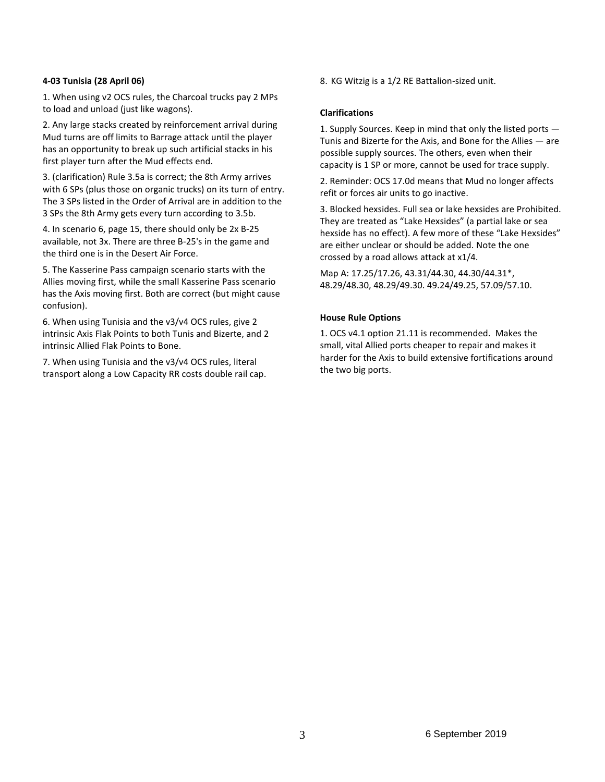# **4-03 Tunisia (28 April 06)**

1. When using v2 OCS rules, the Charcoal trucks pay 2 MPs to load and unload (just like wagons).

2. Any large stacks created by reinforcement arrival during Mud turns are off limits to Barrage attack until the player has an opportunity to break up such artificial stacks in his first player turn after the Mud effects end.

3. (clarification) Rule 3.5a is correct; the 8th Army arrives with 6 SPs (plus those on organic trucks) on its turn of entry. The 3 SPs listed in the Order of Arrival are in addition to the 3 SPs the 8th Army gets every turn according to 3.5b.

4. In scenario 6, page 15, there should only be 2x B-25 available, not 3x. There are three B-25's in the game and the third one is in the Desert Air Force.

5. The Kasserine Pass campaign scenario starts with the Allies moving first, while the small Kasserine Pass scenario has the Axis moving first. Both are correct (but might cause confusion).

6. When using Tunisia and the v3/v4 OCS rules, give 2 intrinsic Axis Flak Points to both Tunis and Bizerte, and 2 intrinsic Allied Flak Points to Bone.

7. When using Tunisia and the v3/v4 OCS rules, literal transport along a Low Capacity RR costs double rail cap. 8. KG Witzig is a 1/2 RE Battalion-sized unit.

## **Clarifications**

1. Supply Sources. Keep in mind that only the listed ports — Tunis and Bizerte for the Axis, and Bone for the Allies — are possible supply sources. The others, even when their capacity is 1 SP or more, cannot be used for trace supply.

2. Reminder: OCS 17.0d means that Mud no longer affects refit or forces air units to go inactive.

3. Blocked hexsides. Full sea or lake hexsides are Prohibited. They are treated as "Lake Hexsides" (a partial lake or sea hexside has no effect). A few more of these "Lake Hexsides" are either unclear or should be added. Note the one crossed by a road allows attack at x1/4.

Map A: 17.25/17.26, 43.31/44.30, 44.30/44.31\*, 48.29/48.30, 48.29/49.30. 49.24/49.25, 57.09/57.10.

# **House Rule Options**

1. OCS v4.1 option 21.11 is recommended. Makes the small, vital Allied ports cheaper to repair and makes it harder for the Axis to build extensive fortifications around the two big ports.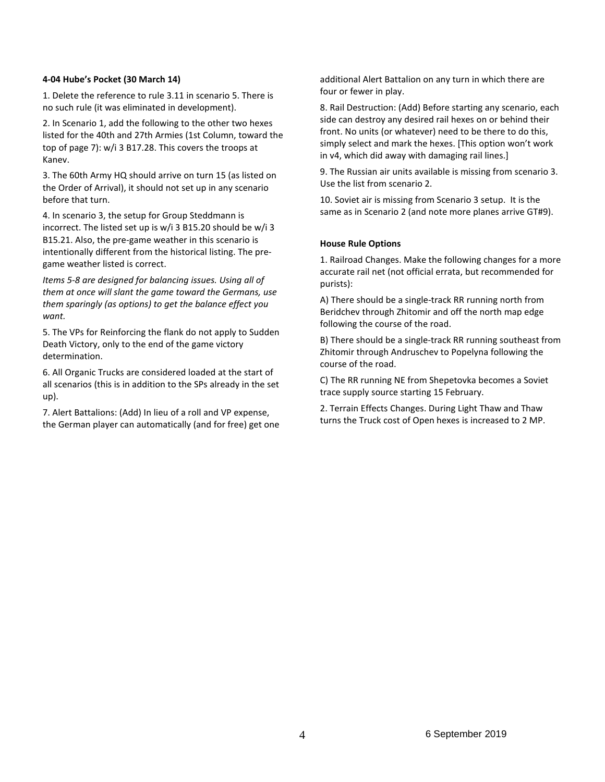## **4-04 Hube's Pocket (30 March 14)**

1. Delete the reference to rule 3.11 in scenario 5. There is no such rule (it was eliminated in development).

2. In Scenario 1, add the following to the other two hexes listed for the 40th and 27th Armies (1st Column, toward the top of page 7): w/i 3 B17.28. This covers the troops at Kanev.

3. The 60th Army HQ should arrive on turn 15 (as listed on the Order of Arrival), it should not set up in any scenario before that turn.

4. In scenario 3, the setup for Group Steddmann is incorrect. The listed set up is w/i 3 B15.20 should be w/i 3 B15.21. Also, the pre-game weather in this scenario is intentionally different from the historical listing. The pregame weather listed is correct.

*Items 5-8 are designed for balancing issues. Using all of them at once will slant the game toward the Germans, use them sparingly (as options) to get the balance effect you want.*

5. The VPs for Reinforcing the flank do not apply to Sudden Death Victory, only to the end of the game victory determination.

6. All Organic Trucks are considered loaded at the start of all scenarios (this is in addition to the SPs already in the set up).

7. Alert Battalions: (Add) In lieu of a roll and VP expense, the German player can automatically (and for free) get one additional Alert Battalion on any turn in which there are four or fewer in play.

8. Rail Destruction: (Add) Before starting any scenario, each side can destroy any desired rail hexes on or behind their front. No units (or whatever) need to be there to do this, simply select and mark the hexes. [This option won't work in v4, which did away with damaging rail lines.]

9. The Russian air units available is missing from scenario 3. Use the list from scenario 2.

10. Soviet air is missing from Scenario 3 setup. It is the same as in Scenario 2 (and note more planes arrive GT#9).

# **House Rule Options**

1. Railroad Changes. Make the following changes for a more accurate rail net (not official errata, but recommended for purists):

A) There should be a single-track RR running north from Beridchev through Zhitomir and off the north map edge following the course of the road.

B) There should be a single-track RR running southeast from Zhitomir through Andruschev to Popelyna following the course of the road.

C) The RR running NE from Shepetovka becomes a Soviet trace supply source starting 15 February.

2. Terrain Effects Changes. During Light Thaw and Thaw turns the Truck cost of Open hexes is increased to 2 MP.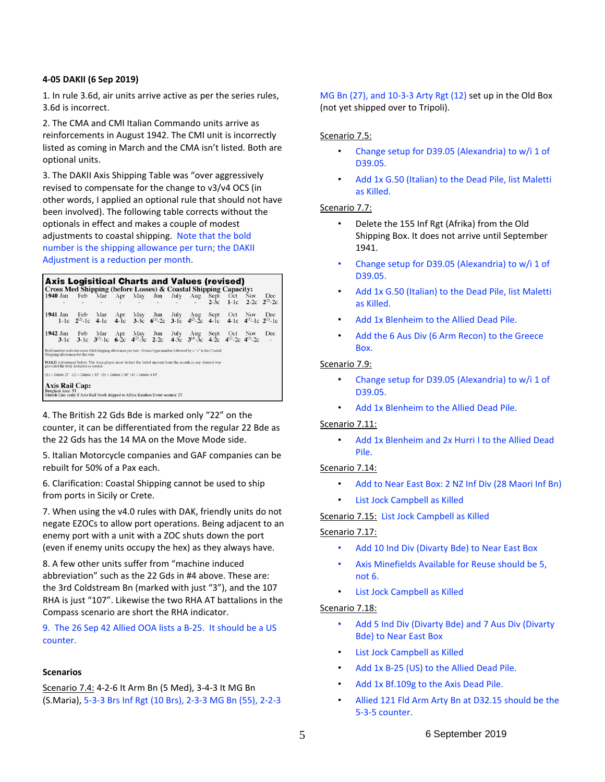## **4-05 DAKII (6 Sep 2019)**

1. In rule 3.6d, air units arrive active as per the series rules, 3.6d is incorrect.

2. The CMA and CMI Italian Commando units arrive as reinforcements in August 1942. The CMI unit is incorrectly listed as coming in March and the CMA isn't listed. Both are optional units.

3. The DAKII Axis Shipping Table was "over aggressively revised to compensate for the change to v3/v4 OCS (in other words, I applied an optional rule that should not have been involved). The following table corrects without the optionals in effect and makes a couple of modest adjustments to coastal shipping. Note that the bold number is the shipping allowance per turn; the DAKII Adjustment is a reduction per month.

| <b>Axis Logisitical Charts and Values (revised)</b><br>Cross Med Shipping (before Losses) & Coastal Shipping Capacity:                              |     |     |     |  |                                                                                                                                                |              |        |                        |
|-----------------------------------------------------------------------------------------------------------------------------------------------------|-----|-----|-----|--|------------------------------------------------------------------------------------------------------------------------------------------------|--------------|--------|------------------------|
| l 1940 Jan                                                                                                                                          |     |     |     |  | Feb Mar Apr May Jun July Aug Sept Oct Nov                                                                                                      | $2-3c$ 1-1c  | $2-2c$ | Dec.<br>$2^{(2)} - 2c$ |
| $1941$ Jan                                                                                                                                          | Feb | Mar | Apr |  | May Jun July Aug<br>1-1c $2^{(2)}$ -1c 4-1c 4-1c 3-3c $6^{(1)}$ -2c 3-1c $4^{(2)}$ -2c 4-1c $4^{(1)}$ -1c $2^{(1)}$ -1c                        | Sept Oct Nov |        | Dec                    |
| $1942$ Jan                                                                                                                                          | Feb | Mar |     |  | Apr May Jun July Aug<br>3-1c 3-1c $3^{11}$ -1c $6^{2}$ c $4^{21}$ -3c 2-2c $4^{2}$ -3c $3^{41}$ -3c $4^{21}$ -2c $4^{(21)}$ -2c $4^{(31)}$ -2c | Sept Oct     | Nov    | Dec                    |
| Bold number indicates cross-Med shipping allowance per turn. Normal type number followed by a "c" is the Coastal<br>Shipping allowance for the turn |     |     |     |  |                                                                                                                                                |              |        |                        |
| DAKII Adjustment below. The Axis player must deduct the listed amount from the month in any desired way<br>provided the total deducted is correct.  |     |     |     |  |                                                                                                                                                |              |        |                        |
| $(1)$ = Delete 2T $(2)$ = Delete 1 SP $(3)$ = Delete 2 SP $(4)$ = Delete 4 SP                                                                       |     |     |     |  |                                                                                                                                                |              |        |                        |
| <b>Axis Rail Cap:</b><br>Benghazi Area: 3T<br>Matruh Line (only if Axis Rail Stock shipped to Africa Random Event occurs): 2T                       |     |     |     |  |                                                                                                                                                |              |        |                        |

4. The British 22 Gds Bde is marked only "22" on the counter, it can be differentiated from the regular 22 Bde as the 22 Gds has the 14 MA on the Move Mode side.

5. Italian Motorcycle companies and GAF companies can be rebuilt for 50% of a Pax each.

6. Clarification: Coastal Shipping cannot be used to ship from ports in Sicily or Crete.

7. When using the v4.0 rules with DAK, friendly units do not negate EZOCs to allow port operations. Being adjacent to an enemy port with a unit with a ZOC shuts down the port (even if enemy units occupy the hex) as they always have.

8. A few other units suffer from "machine induced abbreviation" such as the 22 Gds in #4 above. These are: the 3rd Coldstream Bn (marked with just "3"), and the 107 RHA is just "107". Likewise the two RHA AT battalions in the Compass scenario are short the RHA indicator.

9. The 26 Sep 42 Allied OOA lists a B-25. It should be a US counter.

#### **Scenarios**

Scenario 7.4: 4-2-6 It Arm Bn (5 Med), 3-4-3 It MG Bn (S.Maria), 5-3-3 Brs Inf Rgt (10 Brs), 2-3-3 MG Bn (55), 2-2-3 MG Bn (27), and 10-3-3 Arty Rgt (12) set up in the Old Box (not yet shipped over to Tripoli).

## Scenario 7.5:

- Change setup for D39.05 (Alexandria) to w/i 1 of D39.05.
- Add 1x G.50 (Italian) to the Dead Pile, list Maletti as Killed.

## Scenario 7.7:

- Delete the 155 Inf Rgt (Afrika) from the Old Shipping Box. It does not arrive until September 1941.
- Change setup for D39.05 (Alexandria) to w/i 1 of D39.05.
- Add 1x G.50 (Italian) to the Dead Pile, list Maletti as Killed.
- Add 1x Blenheim to the Allied Dead Pile.
- Add the 6 Aus Div (6 Arm Recon) to the Greece Box.

# Scenario 7.9:

- Change setup for D39.05 (Alexandria) to w/i 1 of D39.05.
- Add 1x Blenheim to the Allied Dead Pile.

# Scenario 7.11:

• Add 1x Blenheim and 2x Hurri I to the Allied Dead Pile.

# Scenario 7.14:

- Add to Near East Box: 2 NZ Inf Div (28 Maori Inf Bn)
- List Jock Campbell as Killed

Scenario 7.15: List Jock Campbell as Killed

# Scenario 7.17:

- Add 10 Ind Div (Divarty Bde) to Near East Box
- Axis Minefields Available for Reuse should be 5, not 6.
- List Jock Campbell as Killed

# Scenario 7.18:

- Add 5 Ind Div (Divarty Bde) and 7 Aus Div (Divarty Bde) to Near East Box
- List Jock Campbell as Killed
- Add 1x B-25 (US) to the Allied Dead Pile.
- Add 1x Bf.109g to the Axis Dead Pile.
- Allied 121 Fld Arm Arty Bn at D32.15 should be the 5-3-5 counter.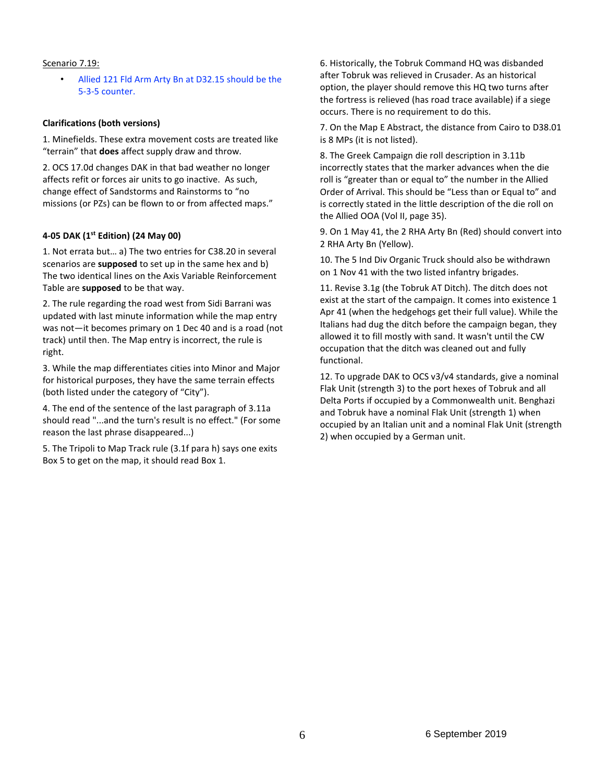## Scenario 7.19:

• Allied 121 Fld Arm Arty Bn at D32.15 should be the 5-3-5 counter.

## **Clarifications (both versions)**

1. Minefields. These extra movement costs are treated like "terrain" that **does** affect supply draw and throw.

2. OCS 17.0d changes DAK in that bad weather no longer affects refit or forces air units to go inactive. As such, change effect of Sandstorms and Rainstorms to "no missions (or PZs) can be flown to or from affected maps."

## **4-05 DAK (1st Edition) (24 May 00)**

1. Not errata but… a) The two entries for C38.20 in several scenarios are **supposed** to set up in the same hex and b) The two identical lines on the Axis Variable Reinforcement Table are **supposed** to be that way.

2. The rule regarding the road west from Sidi Barrani was updated with last minute information while the map entry was not—it becomes primary on 1 Dec 40 and is a road (not track) until then. The Map entry is incorrect, the rule is right.

3. While the map differentiates cities into Minor and Major for historical purposes, they have the same terrain effects (both listed under the category of "City").

4. The end of the sentence of the last paragraph of 3.11a should read "...and the turn's result is no effect." (For some reason the last phrase disappeared...)

5. The Tripoli to Map Track rule (3.1f para h) says one exits Box 5 to get on the map, it should read Box 1.

6. Historically, the Tobruk Command HQ was disbanded after Tobruk was relieved in Crusader. As an historical option, the player should remove this HQ two turns after the fortress is relieved (has road trace available) if a siege occurs. There is no requirement to do this.

7. On the Map E Abstract, the distance from Cairo to D38.01 is 8 MPs (it is not listed).

8. The Greek Campaign die roll description in 3.11b incorrectly states that the marker advances when the die roll is "greater than or equal to" the number in the Allied Order of Arrival. This should be "Less than or Equal to" and is correctly stated in the little description of the die roll on the Allied OOA (Vol II, page 35).

9. On 1 May 41, the 2 RHA Arty Bn (Red) should convert into 2 RHA Arty Bn (Yellow).

10. The 5 Ind Div Organic Truck should also be withdrawn on 1 Nov 41 with the two listed infantry brigades.

11. Revise 3.1g (the Tobruk AT Ditch). The ditch does not exist at the start of the campaign. It comes into existence 1 Apr 41 (when the hedgehogs get their full value). While the Italians had dug the ditch before the campaign began, they allowed it to fill mostly with sand. It wasn't until the CW occupation that the ditch was cleaned out and fully functional.

12. To upgrade DAK to OCS v3/v4 standards, give a nominal Flak Unit (strength 3) to the port hexes of Tobruk and all Delta Ports if occupied by a Commonwealth unit. Benghazi and Tobruk have a nominal Flak Unit (strength 1) when occupied by an Italian unit and a nominal Flak Unit (strength 2) when occupied by a German unit.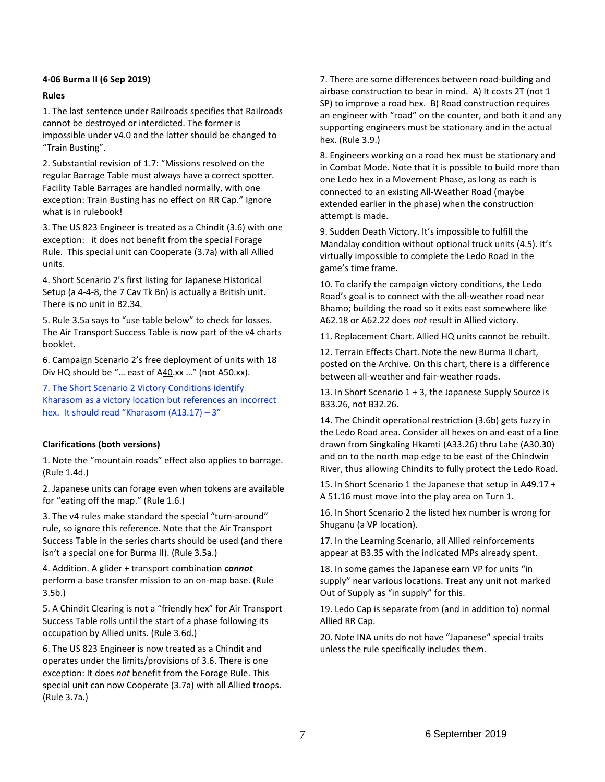# **4-06 Burma II (6 Sep 2019)**

# **Rules**

1. The last sentence under Railroads specifies that Railroads cannot be destroyed or interdicted. The former is impossible under v4.0 and the latter should be changed to "Train Busting".

2. Substantial revision of 1.7: "Missions resolved on the regular Barrage Table must always have a correct spotter. Facility Table Barrages are handled normally, with one exception: Train Busting has no effect on RR Cap." Ignore what is in rulebook!

3. The US 823 Engineer is treated as a Chindit (3.6) with one exception: it does not benefit from the special Forage Rule. This special unit can Cooperate (3.7a) with all Allied units.

4. Short Scenario 2's first listing for Japanese Historical Setup (a 4-4-8, the 7 Cav Tk Bn) is actually a British unit. There is no unit in B2.34.

5. Rule 3.5a says to "use table below" to check for losses. The Air Transport Success Table is now part of the v4 charts booklet.

6. Campaign Scenario 2's free deployment of units with 18 Div HQ should be "… east of A40.xx …" (not A50.xx).

7. The Short Scenario 2 Victory Conditions identify Kharasom as a victory location but references an incorrect hex. It should read "Kharasom (A13.17) - 3"

# **Clarifications (both versions)**

1. Note the "mountain roads" effect also applies to barrage. (Rule 1.4d.)

2. Japanese units can forage even when tokens are available for "eating off the map." (Rule 1.6.)

3. The v4 rules make standard the special "turn-around" rule, so ignore this reference. Note that the Air Transport Success Table in the series charts should be used (and there isn't a special one for Burma II). (Rule 3.5a.)

4. Addition. A glider + transport combination *cannot* perform a base transfer mission to an on-map base. (Rule 3.5b.)

5. A Chindit Clearing is not a "friendly hex" for Air Transport Success Table rolls until the start of a phase following its occupation by Allied units. (Rule 3.6d.)

6. The US 823 Engineer is now treated as a Chindit and operates under the limits/provisions of 3.6. There is one exception: It does *not* benefit from the Forage Rule. This special unit can now Cooperate (3.7a) with all Allied troops. (Rule 3.7a.)

7. There are some differences between road-building and airbase construction to bear in mind. A) It costs 2T (not 1 SP) to improve a road hex. B) Road construction requires an engineer with "road" on the counter, and both it and any supporting engineers must be stationary and in the actual hex. (Rule 3.9.)

8. Engineers working on a road hex must be stationary and in Combat Mode. Note that it is possible to build more than one Ledo hex in a Movement Phase, as long as each is connected to an existing All-Weather Road (maybe extended earlier in the phase) when the construction attempt is made.

9. Sudden Death Victory. It's impossible to fulfill the Mandalay condition without optional truck units (4.5). It's virtually impossible to complete the Ledo Road in the game's time frame.

10. To clarify the campaign victory conditions, the Ledo Road's goal is to connect with the all-weather road near Bhamo; building the road so it exits east somewhere like A62.18 or A62.22 does *not* result in Allied victory.

11. Replacement Chart. Allied HQ units cannot be rebuilt.

12. Terrain Effects Chart. Note the new Burma II chart, posted on the Archive. On this chart, there is a difference between all-weather and fair-weather roads.

13. In Short Scenario 1 + 3, the Japanese Supply Source is B33.26, not B32.26.

14. The Chindit operational restriction (3.6b) gets fuzzy in the Ledo Road area. Consider all hexes on and east of a line drawn from Singkaling Hkamti (A33.26) thru Lahe (A30.30) and on to the north map edge to be east of the Chindwin River, thus allowing Chindits to fully protect the Ledo Road.

15. In Short Scenario 1 the Japanese that setup in A49.17 + A 51.16 must move into the play area on Turn 1.

16. In Short Scenario 2 the listed hex number is wrong for Shuganu (a VP location).

17. In the Learning Scenario, all Allied reinforcements appear at B3.35 with the indicated MPs already spent.

18. In some games the Japanese earn VP for units "in supply" near various locations. Treat any unit not marked Out of Supply as "in supply" for this.

19. Ledo Cap is separate from (and in addition to) normal Allied RR Cap.

20. Note INA units do not have "Japanese" special traits unless the rule specifically includes them.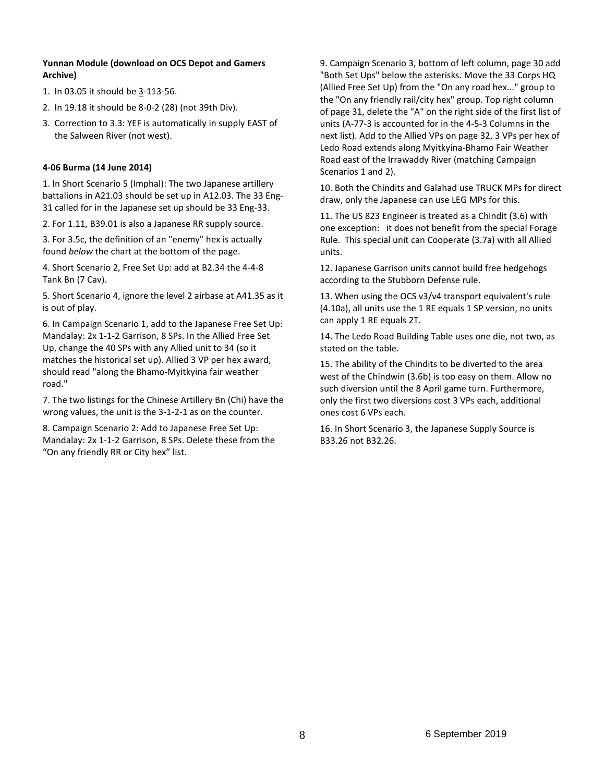# **Yunnan Module (download on OCS Depot and Gamers Archive)**

- 1. In 03.05 it should be 3-113-56.
- 2. In 19.18 it should be 8-0-2 (28) (not 39th Div).
- 3. Correction to 3.3: YEF is automatically in supply EAST of the Salween River (not west).

# **4-06 Burma (14 June 2014)**

1. In Short Scenario 5 (Imphal): The two Japanese artillery battalions in A21.03 should be set up in A12.03. The 33 Eng-31 called for in the Japanese set up should be 33 Eng-33.

2. For 1.11, B39.01 is also a Japanese RR supply source.

3. For 3.5c, the definition of an "enemy" hex is actually found *below* the chart at the bottom of the page.

4. Short Scenario 2, Free Set Up: add at B2.34 the 4-4-8 Tank Bn (7 Cav).

5. Short Scenario 4, ignore the level 2 airbase at A41.35 as it is out of play.

6. In Campaign Scenario 1, add to the Japanese Free Set Up: Mandalay: 2x 1-1-2 Garrison, 8 SPs. In the Allied Free Set Up, change the 40 SPs with any Allied unit to 34 (so it matches the historical set up). Allied 3 VP per hex award, should read "along the Bhamo-Myitkyina fair weather road."

7. The two listings for the Chinese Artillery Bn (Chi) have the wrong values, the unit is the 3-1-2-1 as on the counter.

8. Campaign Scenario 2: Add to Japanese Free Set Up: Mandalay: 2x 1-1-2 Garrison, 8 SPs. Delete these from the "On any friendly RR or City hex" list.

9. Campaign Scenario 3, bottom of left column, page 30 add "Both Set Ups" below the asterisks. Move the 33 Corps HQ (Allied Free Set Up) from the "On any road hex..." group to the "On any friendly rail/city hex" group. Top right column of page 31, delete the "A" on the right side of the first list of units (A-77-3 is accounted for in the 4-5-3 Columns in the next list). Add to the Allied VPs on page 32, 3 VPs per hex of Ledo Road extends along Myitkyina-Bhamo Fair Weather Road east of the Irrawaddy River (matching Campaign Scenarios 1 and 2).

10. Both the Chindits and Galahad use TRUCK MPs for direct draw, only the Japanese can use LEG MPs for this.

11. The US 823 Engineer is treated as a Chindit (3.6) with one exception: it does not benefit from the special Forage Rule. This special unit can Cooperate (3.7a) with all Allied units.

12. Japanese Garrison units cannot build free hedgehogs according to the Stubborn Defense rule.

13. When using the OCS v3/v4 transport equivalent's rule (4.10a), all units use the 1 RE equals 1 SP version, no units can apply 1 RE equals 2T.

14. The Ledo Road Building Table uses one die, not two, as stated on the table.

15. The ability of the Chindits to be diverted to the area west of the Chindwin (3.6b) is too easy on them. Allow no such diversion until the 8 April game turn. Furthermore, only the first two diversions cost 3 VPs each, additional ones cost 6 VPs each.

16. In Short Scenario 3, the Japanese Supply Source is B33.26 not B32.26.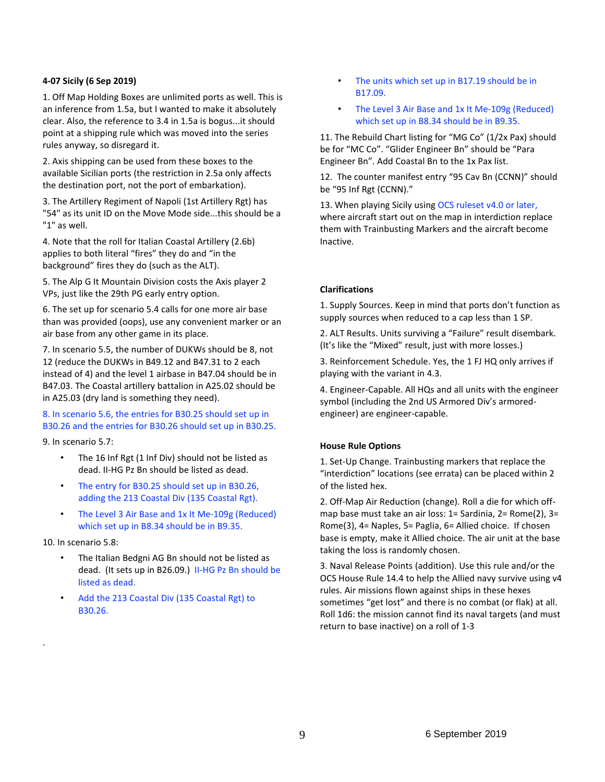# **4-07 Sicily (6 Sep 2019)**

1. Off Map Holding Boxes are unlimited ports as well. This is an inference from 1.5a, but I wanted to make it absolutely clear. Also, the reference to 3.4 in 1.5a is bogus...it should point at a shipping rule which was moved into the series rules anyway, so disregard it.

2. Axis shipping can be used from these boxes to the available Sicilian ports (the restriction in 2.5a only affects the destination port, not the port of embarkation).

3. The Artillery Regiment of Napoli (1st Artillery Rgt) has "54" as its unit ID on the Move Mode side...this should be a "1" as well.

4. Note that the roll for Italian Coastal Artillery (2.6b) applies to both literal "fires" they do and "in the background" fires they do (such as the ALT).

5. The Alp G It Mountain Division costs the Axis player 2 VPs, just like the 29th PG early entry option.

6. The set up for scenario 5.4 calls for one more air base than was provided (oops), use any convenient marker or an air base from any other game in its place.

7. In scenario 5.5, the number of DUKWs should be 8, not 12 (reduce the DUKWs in B49.12 and B47.31 to 2 each instead of 4) and the level 1 airbase in B47.04 should be in B47.03. The Coastal artillery battalion in A25.02 should be in A25.03 (dry land is something they need).

# 8. In scenario 5.6, the entries for B30.25 should set up in B30.26 and the entries for B30.26 should set up in B30.25.

9. In scenario 5.7:

- The 16 Inf Rgt (1 Inf Div) should not be listed as dead. II-HG Pz Bn should be listed as dead.
- The entry for B30.25 should set up in B30.26, adding the 213 Coastal Div (135 Coastal Rgt).
- The Level 3 Air Base and 1x It Me-109g (Reduced) which set up in B8.34 should be in B9.35.

10. In scenario 5.8:

.

- The Italian Bedgni AG Bn should not be listed as dead. (It sets up in B26.09.) II-HG Pz Bn should be listed as dead.
- Add the 213 Coastal Div (135 Coastal Rgt) to B30.26.
- The units which set up in B17.19 should be in B17.09.
- The Level 3 Air Base and 1x It Me-109g (Reduced) which set up in B8.34 should be in B9.35.

11. The Rebuild Chart listing for "MG Co" (1/2x Pax) should be for "MC Co". "Glider Engineer Bn" should be "Para Engineer Bn". Add Coastal Bn to the 1x Pax list.

12. The counter manifest entry "95 Cav Bn (CCNN)" should be "95 Inf Rgt (CCNN)."

13. When playing Sicily using OCS ruleset v4.0 or later, where aircraft start out on the map in interdiction replace them with Trainbusting Markers and the aircraft become Inactive.

# **Clarifications**

1. Supply Sources. Keep in mind that ports don't function as supply sources when reduced to a cap less than 1 SP.

2. ALT Results. Units surviving a "Failure" result disembark. (It's like the "Mixed" result, just with more losses.)

3. Reinforcement Schedule. Yes, the 1 FJ HQ only arrives if playing with the variant in 4.3.

4. Engineer-Capable. All HQs and all units with the engineer symbol (including the 2nd US Armored Div's armoredengineer) are engineer-capable.

# **House Rule Options**

1. Set-Up Change. Trainbusting markers that replace the "interdiction" locations (see errata) can be placed within 2 of the listed hex.

2. Off-Map Air Reduction (change). Roll a die for which offmap base must take an air loss: 1= Sardinia, 2= Rome(2), 3= Rome(3), 4= Naples, 5= Paglia, 6= Allied choice. If chosen base is empty, make it Allied choice. The air unit at the base taking the loss is randomly chosen.

3. Naval Release Points (addition). Use this rule and/or the OCS House Rule 14.4 to help the Allied navy survive using v4 rules. Air missions flown against ships in these hexes sometimes "get lost" and there is no combat (or flak) at all. Roll 1d6: the mission cannot find its naval targets (and must return to base inactive) on a roll of 1-3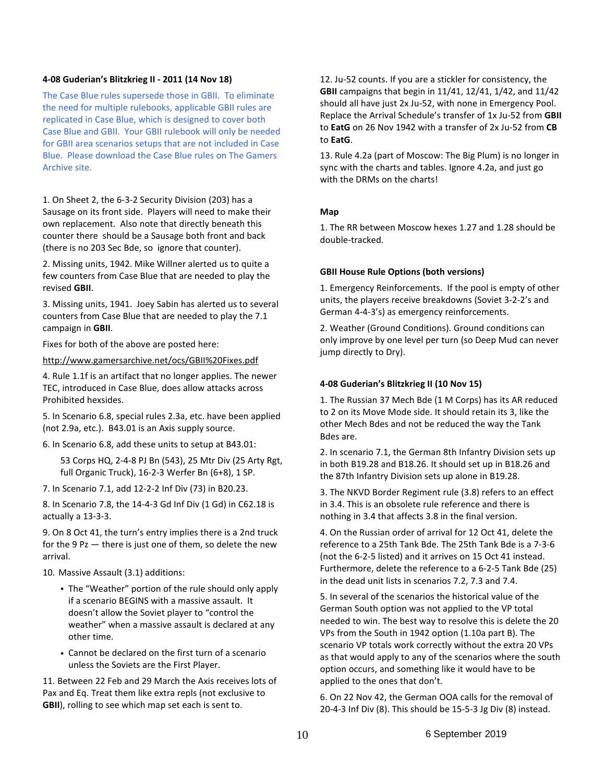## **4-08 Guderian's Blitzkrieg II - 2011 (14 Nov 18)**

The Case Blue rules supersede those in GBII. To eliminate the need for multiple rulebooks, applicable GBII rules are replicated in Case Blue, which is designed to cover both Case Blue and GBII. Your GBII rulebook will only be needed for GBII area scenarios setups that are not included in Case Blue. Please download the Case Blue rules on The Gamers Archive site.

1. On Sheet 2, the 6-3-2 Security Division (203) has a Sausage on its front side. Players will need to make their own replacement. Also note that directly beneath this counter there should be a Sausage both front and back (there is no 203 Sec Bde, so ignore that counter).

2. Missing units, 1942. Mike Willner alerted us to quite a few counters from Case Blue that are needed to play the revised **GBII**.

3. Missing units, 1941. Joey Sabin has alerted us to several counters from Case Blue that are needed to play the 7.1 campaign in **GBII**.

Fixes for both of the above are posted here:

<http://www.gamersarchive.net/ocs/GBII%20Fixes.pdf>

4. Rule 1.1f is an artifact that no longer applies. The newer TEC, introduced in Case Blue, does allow attacks across Prohibited hexsides.

5. In Scenario 6.8, special rules 2.3a, etc. have been applied (not 2.9a, etc.). B43.01 is an Axis supply source.

6. In Scenario 6.8, add these units to setup at B43.01:

53 Corps HQ, 2-4-8 PJ Bn (543), 25 Mtr Div (25 Arty Rgt, full Organic Truck), 16-2-3 Werfer Bn (6+8), 1 SP.

7. In Scenario 7.1, add 12-2-2 Inf Div (73) in B20.23.

8. In Scenario 7.8, the 14-4-3 Gd Inf Div (1 Gd) in C62.18 is actually a 13-3-3.

9. On 8 Oct 41, the turn's entry implies there is a 2nd truck for the 9 Pz — there is just one of them, so delete the new arrival.

10. Massive Assault (3.1) additions:

- The "Weather" portion of the rule should only apply if a scenario BEGINS with a massive assault. It doesn't allow the Soviet player to "control the weather" when a massive assault is declared at any other time.
- Cannot be declared on the first turn of a scenario unless the Soviets are the First Player.

11. Between 22 Feb and 29 March the Axis receives lots of Pax and Eq. Treat them like extra repls (not exclusive to **GBII**), rolling to see which map set each is sent to.

12. Ju-52 counts. If you are a stickler for consistency, the **GBII** campaigns that begin in 11/41, 12/41, 1/42, and 11/42 should all have just 2x Ju-52, with none in Emergency Pool. Replace the Arrival Schedule's transfer of 1x Ju-52 from **GBII** to **EatG** on 26 Nov 1942 with a transfer of 2x Ju-52 from **CB** to **EatG**.

13. Rule 4.2a (part of Moscow: The Big Plum) is no longer in sync with the charts and tables. Ignore 4.2a, and just go with the DRMs on the charts!

# **Map**

1. The RR between Moscow hexes 1.27 and 1.28 should be double-tracked.

# **GBII House Rule Options (both versions)**

1. Emergency Reinforcements. If the pool is empty of other units, the players receive breakdowns (Soviet 3-2-2's and German 4-4-3's) as emergency reinforcements.

2. Weather (Ground Conditions). Ground conditions can only improve by one level per turn (so Deep Mud can never jump directly to Dry).

# **4-08 Guderian's Blitzkrieg II (10 Nov 15)**

1. The Russian 37 Mech Bde (1 M Corps) has its AR reduced to 2 on its Move Mode side. It should retain its 3, like the other Mech Bdes and not be reduced the way the Tank Bdes are.

2. In scenario 7.1, the German 8th Infantry Division sets up in both B19.28 and B18.26. It should set up in B18.26 and the 87th Infantry Division sets up alone in B19.28.

3. The NKVD Border Regiment rule (3.8) refers to an effect in 3.4. This is an obsolete rule reference and there is nothing in 3.4 that affects 3.8 in the final version.

4. On the Russian order of arrival for 12 Oct 41, delete the reference to a 25th Tank Bde. The 25th Tank Bde is a 7-3-6 (not the 6-2-5 listed) and it arrives on 15 Oct 41 instead. Furthermore, delete the reference to a 6-2-5 Tank Bde (25) in the dead unit lists in scenarios 7.2, 7.3 and 7.4.

5. In several of the scenarios the historical value of the German South option was not applied to the VP total needed to win. The best way to resolve this is delete the 20 VPs from the South in 1942 option (1.10a part B). The scenario VP totals work correctly without the extra 20 VPs as that would apply to any of the scenarios where the south option occurs, and something like it would have to be applied to the ones that don't.

6. On 22 Nov 42, the German OOA calls for the removal of 20-4-3 Inf Div (8). This should be 15-5-3 Jg Div (8) instead.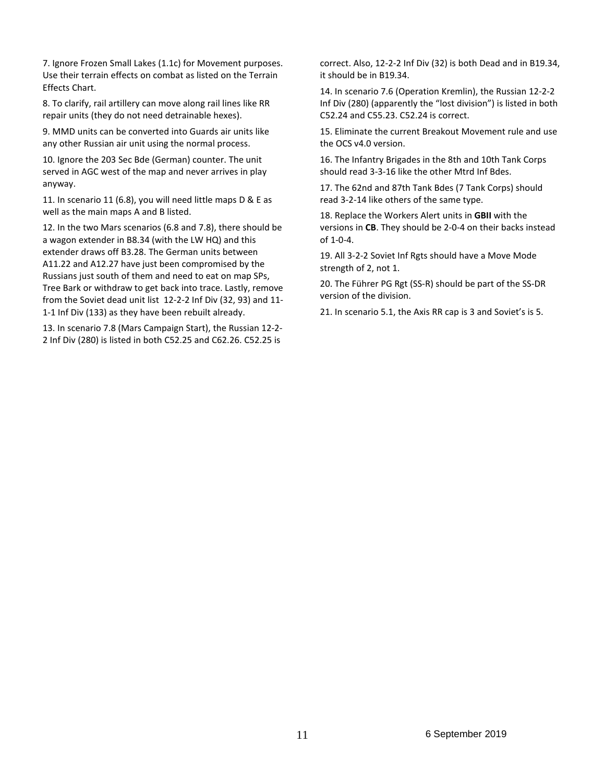7. Ignore Frozen Small Lakes (1.1c) for Movement purposes. Use their terrain effects on combat as listed on the Terrain Effects Chart.

8. To clarify, rail artillery can move along rail lines like RR repair units (they do not need detrainable hexes).

9. MMD units can be converted into Guards air units like any other Russian air unit using the normal process.

10. Ignore the 203 Sec Bde (German) counter. The unit served in AGC west of the map and never arrives in play anyway.

11. In scenario 11 (6.8), you will need little maps D & E as well as the main maps A and B listed.

12. In the two Mars scenarios (6.8 and 7.8), there should be a wagon extender in B8.34 (with the LW HQ) and this extender draws off B3.28. The German units between A11.22 and A12.27 have just been compromised by the Russians just south of them and need to eat on map SPs, Tree Bark or withdraw to get back into trace. Lastly, remove from the Soviet dead unit list 12-2-2 Inf Div (32, 93) and 11- 1-1 Inf Div (133) as they have been rebuilt already.

13. In scenario 7.8 (Mars Campaign Start), the Russian 12-2- 2 Inf Div (280) is listed in both C52.25 and C62.26. C52.25 is

correct. Also, 12-2-2 Inf Div (32) is both Dead and in B19.34, it should be in B19.34.

14. In scenario 7.6 (Operation Kremlin), the Russian 12-2-2 Inf Div (280) (apparently the "lost division") is listed in both C52.24 and C55.23. C52.24 is correct.

15. Eliminate the current Breakout Movement rule and use the OCS v4.0 version.

16. The Infantry Brigades in the 8th and 10th Tank Corps should read 3-3-16 like the other Mtrd Inf Bdes.

17. The 62nd and 87th Tank Bdes (7 Tank Corps) should read 3-2-14 like others of the same type.

18. Replace the Workers Alert units in **GBII** with the versions in **CB**. They should be 2-0-4 on their backs instead of 1-0-4.

19. All 3-2-2 Soviet Inf Rgts should have a Move Mode strength of 2, not 1.

20. The Führer PG Rgt (SS-R) should be part of the SS-DR version of the division.

21. In scenario 5.1, the Axis RR cap is 3 and Soviet's is 5.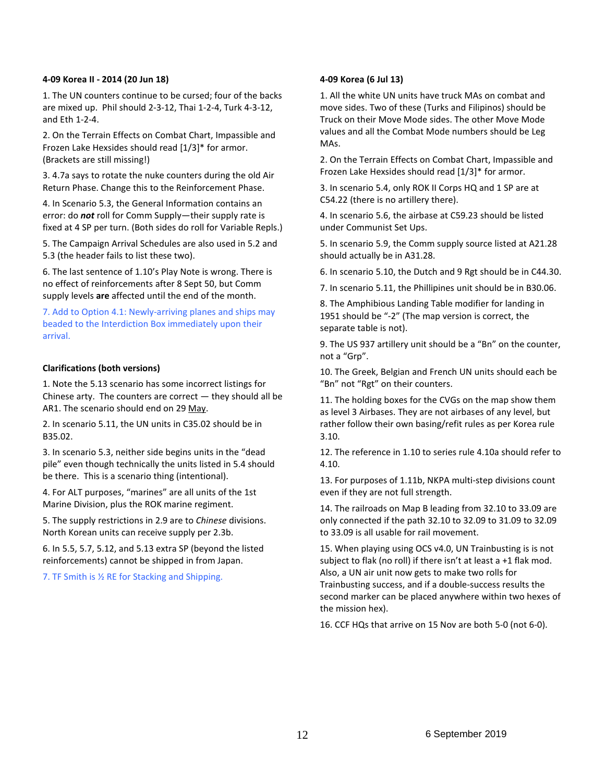# **4-09 Korea II - 2014 (20 Jun 18)**

1. The UN counters continue to be cursed; four of the backs are mixed up. Phil should 2-3-12, Thai 1-2-4, Turk 4-3-12, and Eth 1-2-4.

2. On the Terrain Effects on Combat Chart, Impassible and Frozen Lake Hexsides should read [1/3]\* for armor. (Brackets are still missing!)

3. 4.7a says to rotate the nuke counters during the old Air Return Phase. Change this to the Reinforcement Phase.

4. In Scenario 5.3, the General Information contains an error: do *not* roll for Comm Supply—their supply rate is fixed at 4 SP per turn. (Both sides do roll for Variable Repls.)

5. The Campaign Arrival Schedules are also used in 5.2 and 5.3 (the header fails to list these two).

6. The last sentence of 1.10's Play Note is wrong. There is no effect of reinforcements after 8 Sept 50, but Comm supply levels **are** affected until the end of the month.

7. Add to Option 4.1: Newly-arriving planes and ships may beaded to the Interdiction Box immediately upon their arrival.

# **Clarifications (both versions)**

1. Note the 5.13 scenario has some incorrect listings for Chinese arty. The counters are correct — they should all be AR1. The scenario should end on 29 May.

2. In scenario 5.11, the UN units in C35.02 should be in B35.02.

3. In scenario 5.3, neither side begins units in the "dead pile" even though technically the units listed in 5.4 should be there. This is a scenario thing (intentional).

4. For ALT purposes, "marines" are all units of the 1st Marine Division, plus the ROK marine regiment.

5. The supply restrictions in 2.9 are to *Chinese* divisions. North Korean units can receive supply per 2.3b.

6. In 5.5, 5.7, 5.12, and 5.13 extra SP (beyond the listed reinforcements) cannot be shipped in from Japan.

7. TF Smith is ½ RE for Stacking and Shipping.

# **4-09 Korea (6 Jul 13)**

1. All the white UN units have truck MAs on combat and move sides. Two of these (Turks and Filipinos) should be Truck on their Move Mode sides. The other Move Mode values and all the Combat Mode numbers should be Leg MAs.

2. On the Terrain Effects on Combat Chart, Impassible and Frozen Lake Hexsides should read [1/3]\* for armor.

3. In scenario 5.4, only ROK II Corps HQ and 1 SP are at C54.22 (there is no artillery there).

4. In scenario 5.6, the airbase at C59.23 should be listed under Communist Set Ups.

5. In scenario 5.9, the Comm supply source listed at A21.28 should actually be in A31.28.

6. In scenario 5.10, the Dutch and 9 Rgt should be in C44.30.

7. In scenario 5.11, the Phillipines unit should be in B30.06.

8. The Amphibious Landing Table modifier for landing in 1951 should be "-2" (The map version is correct, the separate table is not).

9. The US 937 artillery unit should be a "Bn" on the counter, not a "Grp".

10. The Greek, Belgian and French UN units should each be "Bn" not "Rgt" on their counters.

11. The holding boxes for the CVGs on the map show them as level 3 Airbases. They are not airbases of any level, but rather follow their own basing/refit rules as per Korea rule 3.10.

12. The reference in 1.10 to series rule 4.10a should refer to 4.10.

13. For purposes of 1.11b, NKPA multi-step divisions count even if they are not full strength.

14. The railroads on Map B leading from 32.10 to 33.09 are only connected if the path 32.10 to 32.09 to 31.09 to 32.09 to 33.09 is all usable for rail movement.

15. When playing using OCS v4.0, UN Trainbusting is is not subject to flak (no roll) if there isn't at least a +1 flak mod. Also, a UN air unit now gets to make two rolls for Trainbusting success, and if a double-success results the second marker can be placed anywhere within two hexes of the mission hex).

16. CCF HQs that arrive on 15 Nov are both 5-0 (not 6-0).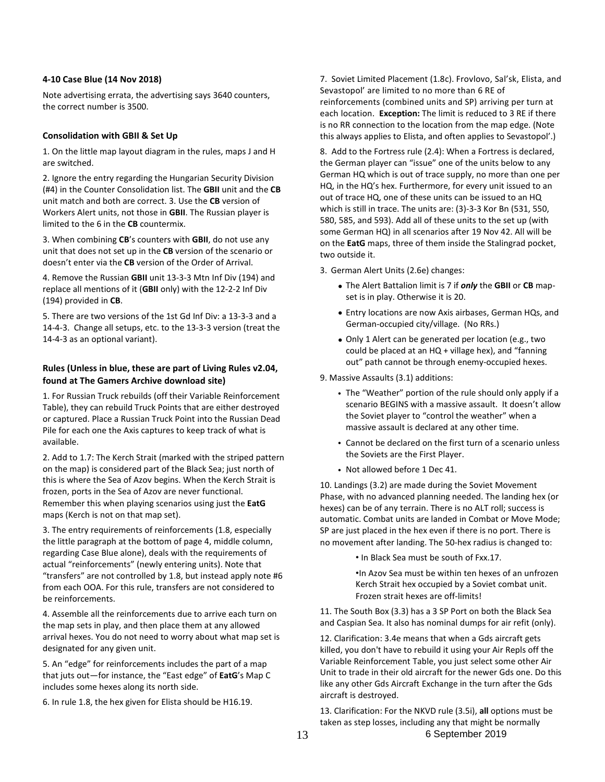## **4-10 Case Blue (14 Nov 2018)**

Note advertising errata, the advertising says 3640 counters, the correct number is 3500.

# **Consolidation with GBII & Set Up**

1. On the little map layout diagram in the rules, maps J and H are switched.

2. Ignore the entry regarding the Hungarian Security Division (#4) in the Counter Consolidation list. The **GBII** unit and the **CB** unit match and both are correct. 3. Use the **CB** version of Workers Alert units, not those in **GBII**. The Russian player is limited to the 6 in the **CB** countermix.

3. When combining **CB**'s counters with **GBII**, do not use any unit that does not set up in the **CB** version of the scenario or doesn't enter via the **CB** version of the Order of Arrival.

4. Remove the Russian **GBII** unit 13-3-3 Mtn Inf Div (194) and replace all mentions of it (**GBII** only) with the 12-2-2 Inf Div (194) provided in **CB**.

5. There are two versions of the 1st Gd Inf Div: a 13-3-3 and a 14-4-3. Change all setups, etc. to the 13-3-3 version (treat the 14-4-3 as an optional variant).

# **Rules (Unless in blue, these are part of Living Rules v2.04, found at The Gamers Archive download site)**

1. For Russian Truck rebuilds (off their Variable Reinforcement Table), they can rebuild Truck Points that are either destroyed or captured. Place a Russian Truck Point into the Russian Dead Pile for each one the Axis captures to keep track of what is available.

2. Add to 1.7: The Kerch Strait (marked with the striped pattern on the map) is considered part of the Black Sea; just north of this is where the Sea of Azov begins. When the Kerch Strait is frozen, ports in the Sea of Azov are never functional. Remember this when playing scenarios using just the **EatG** maps (Kerch is not on that map set).

3. The entry requirements of reinforcements (1.8, especially the little paragraph at the bottom of page 4, middle column, regarding Case Blue alone), deals with the requirements of actual "reinforcements" (newly entering units). Note that "transfers" are not controlled by 1.8, but instead apply note #6 from each OOA. For this rule, transfers are not considered to be reinforcements.

4. Assemble all the reinforcements due to arrive each turn on the map sets in play, and then place them at any allowed arrival hexes. You do not need to worry about what map set is designated for any given unit.

5. An "edge" for reinforcements includes the part of a map that juts out—for instance, the "East edge" of **EatG**'s Map C includes some hexes along its north side.

6. In rule 1.8, the hex given for Elista should be H16.19.

7. Soviet Limited Placement (1.8c). Frovlovo, Sal'sk, Elista, and Sevastopol' are limited to no more than 6 RE of reinforcements (combined units and SP) arriving per turn at each location. **Exception:** The limit is reduced to 3 RE if there is no RR connection to the location from the map edge. (Note this always applies to Elista, and often applies to Sevastopol'.)

8. Add to the Fortress rule (2.4): When a Fortress is declared, the German player can "issue" one of the units below to any German HQ which is out of trace supply, no more than one per HQ, in the HQ's hex. Furthermore, for every unit issued to an out of trace HQ, one of these units can be issued to an HQ which is still in trace. The units are: (3)-3-3 Kor Bn (531, 550, 580, 585, and 593). Add all of these units to the set up (with some German HQ) in all scenarios after 19 Nov 42. All will be on the **EatG** maps, three of them inside the Stalingrad pocket, two outside it.

3. German Alert Units (2.6e) changes:

- **•** The Alert Battalion limit is 7 if *only* the **GBII** or **CB** mapset is in play. Otherwise it is 20.
- **•** Entry locations are now Axis airbases, German HQs, and German-occupied city/village. (No RRs.)
- **•** Only 1 Alert can be generated per location (e.g., two could be placed at an HQ + village hex), and "fanning out" path cannot be through enemy-occupied hexes.

9. Massive Assaults (3.1) additions:

- The "Weather" portion of the rule should only apply if a scenario BEGINS with a massive assault. It doesn't allow the Soviet player to "control the weather" when a massive assault is declared at any other time.
- Cannot be declared on the first turn of a scenario unless the Soviets are the First Player.
- Not allowed before 1 Dec 41.

10. Landings (3.2) are made during the Soviet Movement Phase, with no advanced planning needed. The landing hex (or hexes) can be of any terrain. There is no ALT roll; success is automatic. Combat units are landed in Combat or Move Mode; SP are just placed in the hex even if there is no port. There is no movement after landing. The 50-hex radius is changed to:

• In Black Sea must be south of Fxx.17.

•In Azov Sea must be within ten hexes of an unfrozen Kerch Strait hex occupied by a Soviet combat unit. Frozen strait hexes are off-limits!

11. The South Box (3.3) has a 3 SP Port on both the Black Sea and Caspian Sea. It also has nominal dumps for air refit (only).

12. Clarification: 3.4e means that when a Gds aircraft gets killed, you don't have to rebuild it using your Air Repls off the Variable Reinforcement Table, you just select some other Air Unit to trade in their old aircraft for the newer Gds one. Do this like any other Gds Aircraft Exchange in the turn after the Gds aircraft is destroyed.

13. Clarification: For the NKVD rule (3.5i), **all** options must be taken as step losses, including any that might be normally

13 6 September 2019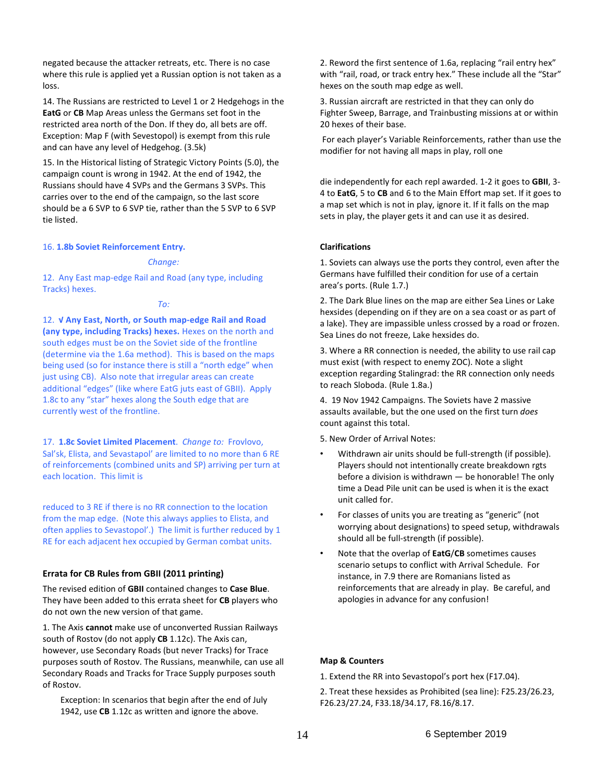negated because the attacker retreats, etc. There is no case where this rule is applied yet a Russian option is not taken as a loss.

14. The Russians are restricted to Level 1 or 2 Hedgehogs in the **EatG** or **CB** Map Areas unless the Germans set foot in the restricted area north of the Don. If they do, all bets are off. Exception: Map F (with Sevestopol) is exempt from this rule and can have any level of Hedgehog. (3.5k)

15. In the Historical listing of Strategic Victory Points (5.0), the campaign count is wrong in 1942. At the end of 1942, the Russians should have 4 SVPs and the Germans 3 SVPs. This carries over to the end of the campaign, so the last score should be a 6 SVP to 6 SVP tie, rather than the 5 SVP to 6 SVP tie listed.

#### 16. **1.8b Soviet Reinforcement Entry.**

#### *Change:*

12. Any East map-edge Rail and Road (any type, including Tracks) hexes.

#### *To:*

12. **√ Any East, North, or South map-edge Rail and Road (any type, including Tracks) hexes.** Hexes on the north and south edges must be on the Soviet side of the frontline (determine via the 1.6a method). This is based on the maps being used (so for instance there is still a "north edge" when just using CB). Also note that irregular areas can create additional "edges" (like where EatG juts east of GBII). Apply 1.8c to any "star" hexes along the South edge that are currently west of the frontline.

17. **1.8c Soviet Limited Placement**. *Change to:* Frovlovo, Sal'sk, Elista, and Sevastapol' are limited to no more than 6 RE of reinforcements (combined units and SP) arriving per turn at each location. This limit is

reduced to 3 RE if there is no RR connection to the location from the map edge. (Note this always applies to Elista, and often applies to Sevastopol'.) The limit is further reduced by 1 RE for each adjacent hex occupied by German combat units.

# **Errata for CB Rules from GBII (2011 printing)**

The revised edition of **GBII** contained changes to **Case Blue**. They have been added to this errata sheet for **CB** players who do not own the new version of that game.

1. The Axis **cannot** make use of unconverted Russian Railways south of Rostov (do not apply **CB** 1.12c). The Axis can, however, use Secondary Roads (but never Tracks) for Trace purposes south of Rostov. The Russians, meanwhile, can use all Secondary Roads and Tracks for Trace Supply purposes south of Rostov.

Exception: In scenarios that begin after the end of July 1942, use **CB** 1.12c as written and ignore the above.

2. Reword the first sentence of 1.6a, replacing "rail entry hex" with "rail, road, or track entry hex." These include all the "Star" hexes on the south map edge as well.

3. Russian aircraft are restricted in that they can only do Fighter Sweep, Barrage, and Trainbusting missions at or within 20 hexes of their base.

For each player's Variable Reinforcements, rather than use the modifier for not having all maps in play, roll one

die independently for each repl awarded. 1-2 it goes to **GBII**, 3- 4 to **EatG**, 5 to **CB** and 6 to the Main Effort map set. If it goes to a map set which is not in play, ignore it. If it falls on the map sets in play, the player gets it and can use it as desired.

## **Clarifications**

1. Soviets can always use the ports they control, even after the Germans have fulfilled their condition for use of a certain area's ports. (Rule 1.7.)

2. The Dark Blue lines on the map are either Sea Lines or Lake hexsides (depending on if they are on a sea coast or as part of a lake). They are impassible unless crossed by a road or frozen. Sea Lines do not freeze, Lake hexsides do.

3. Where a RR connection is needed, the ability to use rail cap must exist (with respect to enemy ZOC). Note a slight exception regarding Stalingrad: the RR connection only needs to reach Sloboda. (Rule 1.8a.)

4. 19 Nov 1942 Campaigns. The Soviets have 2 massive assaults available, but the one used on the first turn *does* count against this total.

5. New Order of Arrival Notes:

- Withdrawn air units should be full-strength (if possible). Players should not intentionally create breakdown rgts before a division is withdrawn — be honorable! The only time a Dead Pile unit can be used is when it is the exact unit called for.
- For classes of units you are treating as "generic" (not worrying about designations) to speed setup, withdrawals should all be full-strength (if possible).
- Note that the overlap of **EatG**/**CB** sometimes causes scenario setups to conflict with Arrival Schedule. For instance, in 7.9 there are Romanians listed as reinforcements that are already in play. Be careful, and apologies in advance for any confusion!

#### **Map & Counters**

1. Extend the RR into Sevastopol's port hex (F17.04).

2. Treat these hexsides as Prohibited (sea line): F25.23/26.23, F26.23/27.24, F33.18/34.17, F8.16/8.17.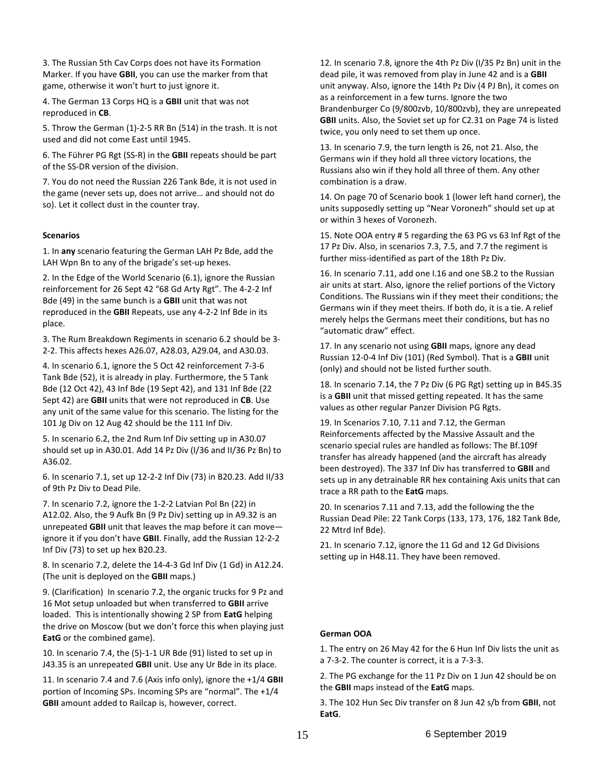3. The Russian 5th Cav Corps does not have its Formation Marker. If you have **GBII**, you can use the marker from that game, otherwise it won't hurt to just ignore it.

4. The German 13 Corps HQ is a **GBII** unit that was not reproduced in **CB**.

5. Throw the German (1)-2-5 RR Bn (514) in the trash. It is not used and did not come East until 1945.

6. The Führer PG Rgt (SS-R) in the **GBII** repeats should be part of the SS-DR version of the division.

7. You do not need the Russian 226 Tank Bde, it is not used in the game (never sets up, does not arrive… and should not do so). Let it collect dust in the counter tray.

#### **Scenarios**

1. In **any** scenario featuring the German LAH Pz Bde, add the LAH Wpn Bn to any of the brigade's set-up hexes.

2. In the Edge of the World Scenario (6.1), ignore the Russian reinforcement for 26 Sept 42 "68 Gd Arty Rgt". The 4-2-2 Inf Bde (49) in the same bunch is a **GBII** unit that was not reproduced in the **GBII** Repeats, use any 4-2-2 Inf Bde in its place.

3. The Rum Breakdown Regiments in scenario 6.2 should be 3- 2-2. This affects hexes A26.07, A28.03, A29.04, and A30.03.

4. In scenario 6.1, ignore the 5 Oct 42 reinforcement 7-3-6 Tank Bde (52), it is already in play. Furthermore, the 5 Tank Bde (12 Oct 42), 43 Inf Bde (19 Sept 42), and 131 Inf Bde (22 Sept 42) are **GBII** units that were not reproduced in **CB**. Use any unit of the same value for this scenario. The listing for the 101 Jg Div on 12 Aug 42 should be the 111 Inf Div.

5. In scenario 6.2, the 2nd Rum Inf Div setting up in A30.07 should set up in A30.01. Add 14 Pz Div (I/36 and II/36 Pz Bn) to A36.02.

6. In scenario 7.1, set up 12-2-2 Inf Div (73) in B20.23. Add II/33 of 9th Pz Div to Dead Pile.

7. In scenario 7.2, ignore the 1-2-2 Latvian Pol Bn (22) in A12.02. Also, the 9 Aufk Bn (9 Pz Div) setting up in A9.32 is an unrepeated **GBII** unit that leaves the map before it can move ignore it if you don't have **GBII**. Finally, add the Russian 12-2-2 Inf Div (73) to set up hex B20.23.

8. In scenario 7.2, delete the 14-4-3 Gd Inf Div (1 Gd) in A12.24. (The unit is deployed on the **GBII** maps.)

9. (Clarification) In scenario 7.2, the organic trucks for 9 Pz and 16 Mot setup unloaded but when transferred to **GBII** arrive loaded. This is intentionally showing 2 SP from **EatG** helping the drive on Moscow (but we don't force this when playing just **EatG** or the combined game).

10. In scenario 7.4, the (5)-1-1 UR Bde (91) listed to set up in J43.35 is an unrepeated **GBII** unit. Use any Ur Bde in its place.

11. In scenario 7.4 and 7.6 (Axis info only), ignore the +1/4 **GBII** portion of Incoming SPs. Incoming SPs are "normal". The +1/4 **GBII** amount added to Railcap is, however, correct.

12. In scenario 7.8, ignore the 4th Pz Div (I/35 Pz Bn) unit in the dead pile, it was removed from play in June 42 and is a **GBII** unit anyway. Also, ignore the 14th Pz Div (4 PJ Bn), it comes on as a reinforcement in a few turns. Ignore the two Brandenburger Co (9/800zvb, 10/800zvb), they are unrepeated **GBII** units. Also, the Soviet set up for C2.31 on Page 74 is listed twice, you only need to set them up once.

13. In scenario 7.9, the turn length is 26, not 21. Also, the Germans win if they hold all three victory locations, the Russians also win if they hold all three of them. Any other combination is a draw.

14. On page 70 of Scenario book 1 (lower left hand corner), the units supposedly setting up "Near Voronezh" should set up at or within 3 hexes of Voronezh.

15. Note OOA entry # 5 regarding the 63 PG vs 63 Inf Rgt of the 17 Pz Div. Also, in scenarios 7.3, 7.5, and 7.7 the regiment is further miss-identified as part of the 18th Pz Div.

16. In scenario 7.11, add one I.16 and one SB.2 to the Russian air units at start. Also, ignore the relief portions of the Victory Conditions. The Russians win if they meet their conditions; the Germans win if they meet theirs. If both do, it is a tie. A relief merely helps the Germans meet their conditions, but has no "automatic draw" effect.

17. In any scenario not using **GBII** maps, ignore any dead Russian 12-0-4 Inf Div (101) (Red Symbol). That is a **GBII** unit (only) and should not be listed further south.

18. In scenario 7.14, the 7 Pz Div (6 PG Rgt) setting up in B45.35 is a **GBII** unit that missed getting repeated. It has the same values as other regular Panzer Division PG Rgts.

19. In Scenarios 7.10, 7.11 and 7.12, the German Reinforcements affected by the Massive Assault and the scenario special rules are handled as follows: The Bf.109f transfer has already happened (and the aircraft has already been destroyed). The 337 Inf Div has transferred to **GBII** and sets up in any detrainable RR hex containing Axis units that can trace a RR path to the **EatG** maps.

20. In scenarios 7.11 and 7.13, add the following the the Russian Dead Pile: 22 Tank Corps (133, 173, 176, 182 Tank Bde, 22 Mtrd Inf Bde).

21. In scenario 7.12, ignore the 11 Gd and 12 Gd Divisions setting up in H48.11. They have been removed.

#### **German OOA**

1. The entry on 26 May 42 for the 6 Hun Inf Div lists the unit as a 7-3-2. The counter is correct, it is a 7-3-3.

2. The PG exchange for the 11 Pz Div on 1 Jun 42 should be on the **GBII** maps instead of the **EatG** maps.

3. The 102 Hun Sec Div transfer on 8 Jun 42 s/b from **GBII**, not **EatG**.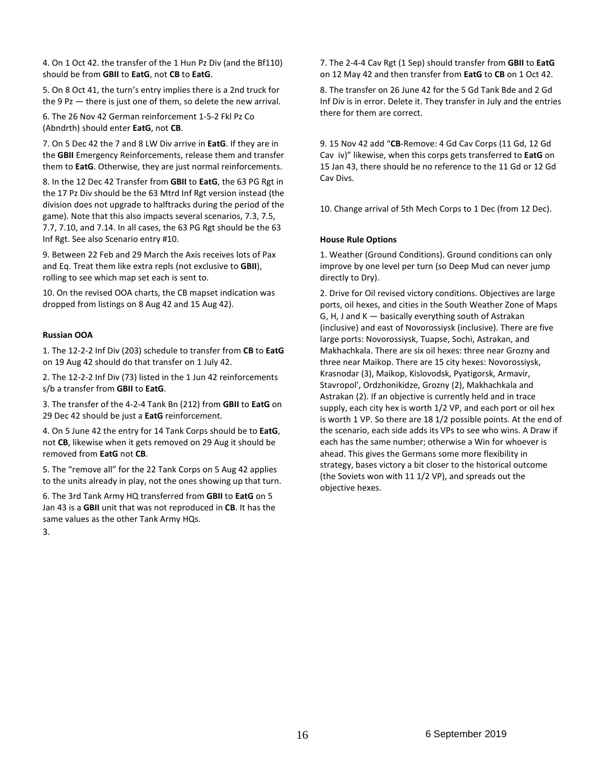4. On 1 Oct 42. the transfer of the 1 Hun Pz Div (and the Bf110) should be from **GBII** to **EatG**, not **CB** to **EatG**.

5. On 8 Oct 41, the turn's entry implies there is a 2nd truck for the 9  $Pz$  — there is just one of them, so delete the new arrival.

6. The 26 Nov 42 German reinforcement 1-5-2 Fkl Pz Co (Abndrth) should enter **EatG**, not **CB**.

7. On 5 Dec 42 the 7 and 8 LW Div arrive in **EatG**. If they are in the **GBII** Emergency Reinforcements, release them and transfer them to **EatG**. Otherwise, they are just normal reinforcements.

8. In the 12 Dec 42 Transfer from **GBII** to **EatG**, the 63 PG Rgt in the 17 Pz Div should be the 63 Mtrd Inf Rgt version instead (the division does not upgrade to halftracks during the period of the game). Note that this also impacts several scenarios, 7.3, 7.5, 7.7, 7.10, and 7.14. In all cases, the 63 PG Rgt should be the 63 Inf Rgt. See also Scenario entry #10.

9. Between 22 Feb and 29 March the Axis receives lots of Pax and Eq. Treat them like extra repls (not exclusive to **GBII**), rolling to see which map set each is sent to.

10. On the revised OOA charts, the CB mapset indication was dropped from listings on 8 Aug 42 and 15 Aug 42).

## **Russian OOA**

1. The 12-2-2 Inf Div (203) schedule to transfer from **CB** to **EatG** on 19 Aug 42 should do that transfer on 1 July 42.

2. The 12-2-2 Inf Div (73) listed in the 1 Jun 42 reinforcements s/b a transfer from **GBII** to **EatG**.

3. The transfer of the 4-2-4 Tank Bn (212) from **GBII** to **EatG** on 29 Dec 42 should be just a **EatG** reinforcement.

4. On 5 June 42 the entry for 14 Tank Corps should be to **EatG**, not **CB**, likewise when it gets removed on 29 Aug it should be removed from **EatG** not **CB**.

5. The "remove all" for the 22 Tank Corps on 5 Aug 42 applies to the units already in play, not the ones showing up that turn.

6. The 3rd Tank Army HQ transferred from **GBII** to **EatG** on 5 Jan 43 is a **GBII** unit that was not reproduced in **CB**. It has the same values as the other Tank Army HQs.

7. The 2-4-4 Cav Rgt (1 Sep) should transfer from **GBII** to **EatG** on 12 May 42 and then transfer from **EatG** to **CB** on 1 Oct 42.

8. The transfer on 26 June 42 for the 5 Gd Tank Bde and 2 Gd Inf Div is in error. Delete it. They transfer in July and the entries there for them are correct.

9. 15 Nov 42 add "**CB**-Remove: 4 Gd Cav Corps (11 Gd, 12 Gd Cav iv)" likewise, when this corps gets transferred to **EatG** on 15 Jan 43, there should be no reference to the 11 Gd or 12 Gd Cav Divs.

10. Change arrival of 5th Mech Corps to 1 Dec (from 12 Dec).

#### **House Rule Options**

1. Weather (Ground Conditions). Ground conditions can only improve by one level per turn (so Deep Mud can never jump directly to Dry).

2. Drive for Oil revised victory conditions. Objectives are large ports, oil hexes, and cities in the South Weather Zone of Maps G, H, J and K — basically everything south of Astrakan (inclusive) and east of Novorossiysk (inclusive). There are five large ports: Novorossiysk, Tuapse, Sochi, Astrakan, and Makhachkala. There are six oil hexes: three near Grozny and three near Maikop. There are 15 city hexes: Novorossiysk, Krasnodar (3), Maikop, Kislovodsk, Pyatigorsk, Armavir, Stavropol', Ordzhonikidze, Grozny (2), Makhachkala and Astrakan (2). If an objective is currently held and in trace supply, each city hex is worth 1/2 VP, and each port or oil hex is worth 1 VP. So there are 18 1/2 possible points. At the end of the scenario, each side adds its VPs to see who wins. A Draw if each has the same number; otherwise a Win for whoever is ahead. This gives the Germans some more flexibility in strategy, bases victory a bit closer to the historical outcome (the Soviets won with 11 1/2 VP), and spreads out the objective hexes.

3.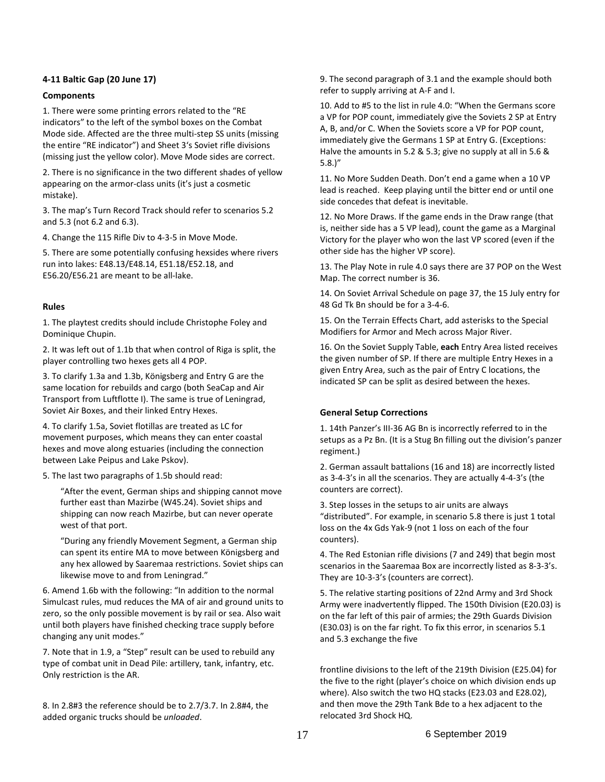# **4-11 Baltic Gap (20 June 17)**

# **Components**

1. There were some printing errors related to the "RE indicators" to the left of the symbol boxes on the Combat Mode side. Affected are the three multi-step SS units (missing the entire "RE indicator") and Sheet 3's Soviet rifle divisions (missing just the yellow color). Move Mode sides are correct.

2. There is no significance in the two different shades of yellow appearing on the armor-class units (it's just a cosmetic mistake).

3. The map's Turn Record Track should refer to scenarios 5.2 and 5.3 (not 6.2 and 6.3).

4. Change the 115 Rifle Div to 4-3-5 in Move Mode.

5. There are some potentially confusing hexsides where rivers run into lakes: E48.13/E48.14, E51.18/E52.18, and E56.20/E56.21 are meant to be all-lake.

# **Rules**

1. The playtest credits should include Christophe Foley and Dominique Chupin.

2. It was left out of 1.1b that when control of Riga is split, the player controlling two hexes gets all 4 POP.

3. To clarify 1.3a and 1.3b, Königsberg and Entry G are the same location for rebuilds and cargo (both SeaCap and Air Transport from Luftflotte I). The same is true of Leningrad, Soviet Air Boxes, and their linked Entry Hexes.

4. To clarify 1.5a, Soviet flotillas are treated as LC for movement purposes, which means they can enter coastal hexes and move along estuaries (including the connection between Lake Peipus and Lake Pskov).

5. The last two paragraphs of 1.5b should read:

"After the event, German ships and shipping cannot move further east than Mazirbe (W45.24). Soviet ships and shipping can now reach Mazirbe, but can never operate west of that port.

"During any friendly Movement Segment, a German ship can spent its entire MA to move between Königsberg and any hex allowed by Saaremaa restrictions. Soviet ships can likewise move to and from Leningrad."

6. Amend 1.6b with the following: "In addition to the normal Simulcast rules, mud reduces the MA of air and ground units to zero, so the only possible movement is by rail or sea. Also wait until both players have finished checking trace supply before changing any unit modes."

7. Note that in 1.9, a "Step" result can be used to rebuild any type of combat unit in Dead Pile: artillery, tank, infantry, etc. Only restriction is the AR.

8. In 2.8#3 the reference should be to 2.7/3.7. In 2.8#4, the added organic trucks should be *unloaded*.

9. The second paragraph of 3.1 and the example should both refer to supply arriving at A-F and I.

10. Add to #5 to the list in rule 4.0: "When the Germans score a VP for POP count, immediately give the Soviets 2 SP at Entry A, B, and/or C. When the Soviets score a VP for POP count, immediately give the Germans 1 SP at Entry G. (Exceptions: Halve the amounts in 5.2 & 5.3; give no supply at all in 5.6 & 5.8.)"

11. No More Sudden Death. Don't end a game when a 10 VP lead is reached. Keep playing until the bitter end or until one side concedes that defeat is inevitable.

12. No More Draws. If the game ends in the Draw range (that is, neither side has a 5 VP lead), count the game as a Marginal Victory for the player who won the last VP scored (even if the other side has the higher VP score).

13. The Play Note in rule 4.0 says there are 37 POP on the West Map. The correct number is 36.

14. On Soviet Arrival Schedule on page 37, the 15 July entry for 48 Gd Tk Bn should be for a 3-4-6.

15. On the Terrain Effects Chart, add asterisks to the Special Modifiers for Armor and Mech across Major River.

16. On the Soviet Supply Table, **each** Entry Area listed receives the given number of SP. If there are multiple Entry Hexes in a given Entry Area, such as the pair of Entry C locations, the indicated SP can be split as desired between the hexes.

# **General Setup Corrections**

1. 14th Panzer's III-36 AG Bn is incorrectly referred to in the setups as a Pz Bn. (It is a Stug Bn filling out the division's panzer regiment.)

2. German assault battalions (16 and 18) are incorrectly listed as 3-4-3's in all the scenarios. They are actually 4-4-3's (the counters are correct).

3. Step losses in the setups to air units are always "distributed". For example, in scenario 5.8 there is just 1 total loss on the 4x Gds Yak-9 (not 1 loss on each of the four counters).

4. The Red Estonian rifle divisions (7 and 249) that begin most scenarios in the Saaremaa Box are incorrectly listed as 8-3-3's. They are 10-3-3's (counters are correct).

5. The relative starting positions of 22nd Army and 3rd Shock Army were inadvertently flipped. The 150th Division (E20.03) is on the far left of this pair of armies; the 29th Guards Division (E30.03) is on the far right. To fix this error, in scenarios 5.1 and 5.3 exchange the five

frontline divisions to the left of the 219th Division (E25.04) for the five to the right (player's choice on which division ends up where). Also switch the two HQ stacks (E23.03 and E28.02), and then move the 29th Tank Bde to a hex adjacent to the relocated 3rd Shock HQ.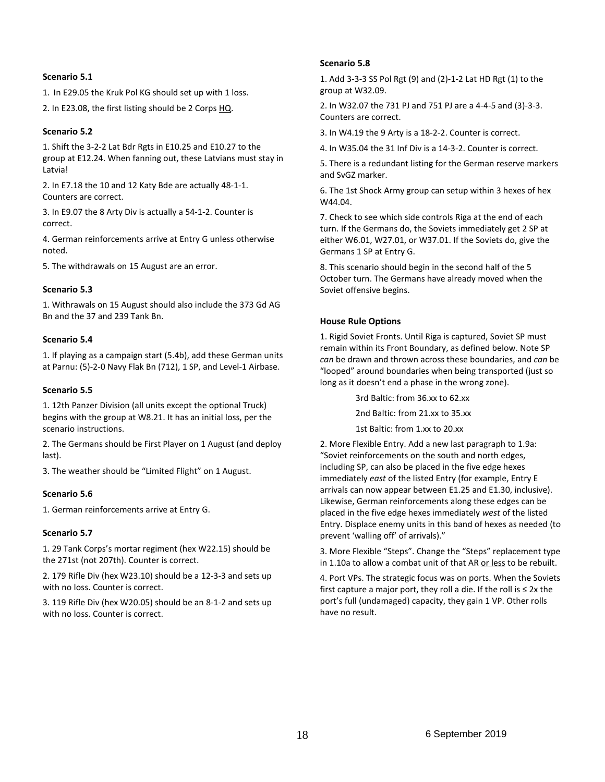## **Scenario 5.1**

1. In E29.05 the Kruk Pol KG should set up with 1 loss.

2. In E23.08, the first listing should be 2 Corps HQ.

## **Scenario 5.2**

1. Shift the 3-2-2 Lat Bdr Rgts in E10.25 and E10.27 to the group at E12.24. When fanning out, these Latvians must stay in Latvia!

2. In E7.18 the 10 and 12 Katy Bde are actually 48-1-1. Counters are correct.

3. In E9.07 the 8 Arty Div is actually a 54-1-2. Counter is correct.

4. German reinforcements arrive at Entry G unless otherwise noted.

5. The withdrawals on 15 August are an error.

## **Scenario 5.3**

1. Withrawals on 15 August should also include the 373 Gd AG Bn and the 37 and 239 Tank Bn.

## **Scenario 5.4**

1. If playing as a campaign start (5.4b), add these German units at Parnu: (5)-2-0 Navy Flak Bn (712), 1 SP, and Level-1 Airbase.

## **Scenario 5.5**

1. 12th Panzer Division (all units except the optional Truck) begins with the group at W8.21. It has an initial loss, per the scenario instructions.

2. The Germans should be First Player on 1 August (and deploy last).

3. The weather should be "Limited Flight" on 1 August.

# **Scenario 5.6**

1. German reinforcements arrive at Entry G.

#### **Scenario 5.7**

1. 29 Tank Corps's mortar regiment (hex W22.15) should be the 271st (not 207th). Counter is correct.

2. 179 Rifle Div (hex W23.10) should be a 12-3-3 and sets up with no loss. Counter is correct.

3. 119 Rifle Div (hex W20.05) should be an 8-1-2 and sets up with no loss. Counter is correct.

## **Scenario 5.8**

1. Add 3-3-3 SS Pol Rgt (9) and (2)-1-2 Lat HD Rgt (1) to the group at W32.09.

2. In W32.07 the 731 PJ and 751 PJ are a 4-4-5 and (3)-3-3. Counters are correct.

3. In W4.19 the 9 Arty is a 18-2-2. Counter is correct.

4. In W35.04 the 31 Inf Div is a 14-3-2. Counter is correct.

5. There is a redundant listing for the German reserve markers and SvGZ marker.

6. The 1st Shock Army group can setup within 3 hexes of hex W44.04.

7. Check to see which side controls Riga at the end of each turn. If the Germans do, the Soviets immediately get 2 SP at either W6.01, W27.01, or W37.01. If the Soviets do, give the Germans 1 SP at Entry G.

8. This scenario should begin in the second half of the 5 October turn. The Germans have already moved when the Soviet offensive begins.

## **House Rule Options**

1. Rigid Soviet Fronts. Until Riga is captured, Soviet SP must remain within its Front Boundary, as defined below. Note SP *can* be drawn and thrown across these boundaries, and *can* be "looped" around boundaries when being transported (just so long as it doesn't end a phase in the wrong zone).

3rd Baltic: from 36.xx to 62.xx

2nd Baltic: from 21.xx to 35.xx

1st Baltic: from 1.xx to 20.xx

2. More Flexible Entry. Add a new last paragraph to 1.9a: "Soviet reinforcements on the south and north edges, including SP, can also be placed in the five edge hexes immediately *east* of the listed Entry (for example, Entry E arrivals can now appear between E1.25 and E1.30, inclusive). Likewise, German reinforcements along these edges can be placed in the five edge hexes immediately *west* of the listed Entry. Displace enemy units in this band of hexes as needed (to prevent 'walling off' of arrivals)."

3. More Flexible "Steps". Change the "Steps" replacement type in 1.10a to allow a combat unit of that AR or less to be rebuilt.

4. Port VPs. The strategic focus was on ports. When the Soviets first capture a major port, they roll a die. If the roll is  $\leq 2x$  the port's full (undamaged) capacity, they gain 1 VP. Other rolls have no result.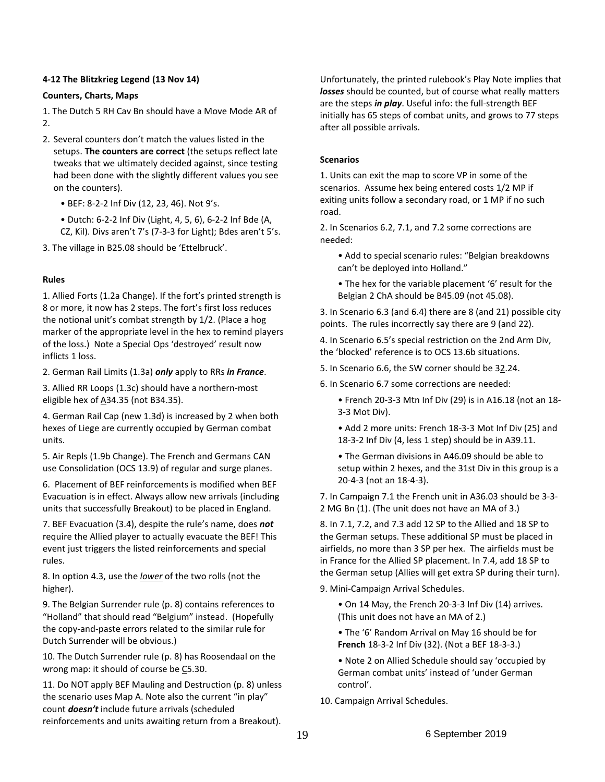# **4-12 The Blitzkrieg Legend (13 Nov 14)**

# **Counters, Charts, Maps**

1. The Dutch 5 RH Cav Bn should have a Move Mode AR of  $\mathcal{L}$ 

- 2. Several counters don't match the values listed in the setups. **The counters are correct** (the setups reflect late tweaks that we ultimately decided against, since testing had been done with the slightly different values you see on the counters).
	- BEF: 8-2-2 Inf Div (12, 23, 46). Not 9's.
	- Dutch: 6-2-2 Inf Div (Light, 4, 5, 6), 6-2-2 Inf Bde (A, CZ, Kil). Divs aren't 7's (7-3-3 for Light); Bdes aren't 5's.
- 3. The village in B25.08 should be 'Ettelbruck'.

# **Rules**

1. Allied Forts (1.2a Change). If the fort's printed strength is 8 or more, it now has 2 steps. The fort's first loss reduces the notional unit's combat strength by 1/2. (Place a hog marker of the appropriate level in the hex to remind players of the loss.) Note a Special Ops 'destroyed' result now inflicts 1 loss.

2. German Rail Limits (1.3a) *only* apply to RRs *in France*.

3. Allied RR Loops (1.3c) should have a northern-most eligible hex of  $A34.35$  (not B34.35).

4. German Rail Cap (new 1.3d) is increased by 2 when both hexes of Liege are currently occupied by German combat units.

5. Air Repls (1.9b Change). The French and Germans CAN use Consolidation (OCS 13.9) of regular and surge planes.

6. Placement of BEF reinforcements is modified when BEF Evacuation is in effect. Always allow new arrivals (including units that successfully Breakout) to be placed in England.

7. BEF Evacuation (3.4), despite the rule's name, does *not* require the Allied player to actually evacuate the BEF! This event just triggers the listed reinforcements and special rules.

8. In option 4.3, use the *lower* of the two rolls (not the higher).

9. The Belgian Surrender rule (p. 8) contains references to "Holland" that should read "Belgium" instead. (Hopefully the copy-and-paste errors related to the similar rule for Dutch Surrender will be obvious.)

10. The Dutch Surrender rule (p. 8) has Roosendaal on the wrong map: it should of course be C5.30.

11. Do NOT apply BEF Mauling and Destruction (p. 8) unless the scenario uses Map A. Note also the current "in play" count *doesn't* include future arrivals (scheduled reinforcements and units awaiting return from a Breakout).

Unfortunately, the printed rulebook's Play Note implies that *losses* should be counted, but of course what really matters are the steps *in play*. Useful info: the full-strength BEF initially has 65 steps of combat units, and grows to 77 steps after all possible arrivals.

# **Scenarios**

1. Units can exit the map to score VP in some of the scenarios. Assume hex being entered costs 1/2 MP if exiting units follow a secondary road, or 1 MP if no such road.

2. In Scenarios 6.2, 7.1, and 7.2 some corrections are needed:

- Add to special scenario rules: "Belgian breakdowns can't be deployed into Holland."
- The hex for the variable placement '6' result for the Belgian 2 ChA should be B45.09 (not 45.08).

3. In Scenario 6.3 (and 6.4) there are 8 (and 21) possible city points. The rules incorrectly say there are 9 (and 22).

4. In Scenario 6.5's special restriction on the 2nd Arm Div, the 'blocked' reference is to OCS 13.6b situations.

- 5. In Scenario 6.6, the SW corner should be 32.24.
- 6. In Scenario 6.7 some corrections are needed:
	- French 20-3-3 Mtn Inf Div (29) is in A16.18 (not an 18- 3-3 Mot Div).
	- Add 2 more units: French 18-3-3 Mot Inf Div (25) and 18-3-2 Inf Div (4, less 1 step) should be in A39.11.

• The German divisions in A46.09 should be able to setup within 2 hexes, and the 31st Div in this group is a 20-4-3 (not an 18-4-3).

7. In Campaign 7.1 the French unit in A36.03 should be 3-3- 2 MG Bn (1). (The unit does not have an MA of 3.)

8. In 7.1, 7.2, and 7.3 add 12 SP to the Allied and 18 SP to the German setups. These additional SP must be placed in airfields, no more than 3 SP per hex. The airfields must be in France for the Allied SP placement. In 7.4, add 18 SP to the German setup (Allies will get extra SP during their turn).

9. Mini-Campaign Arrival Schedules.

• On 14 May, the French 20-3-3 Inf Div (14) arrives. (This unit does not have an MA of 2.)

- The '6' Random Arrival on May 16 should be for **French** 18-3-2 Inf Div (32). (Not a BEF 18-3-3.)
- Note 2 on Allied Schedule should say 'occupied by German combat units' instead of 'under German control'.
- 10. Campaign Arrival Schedules.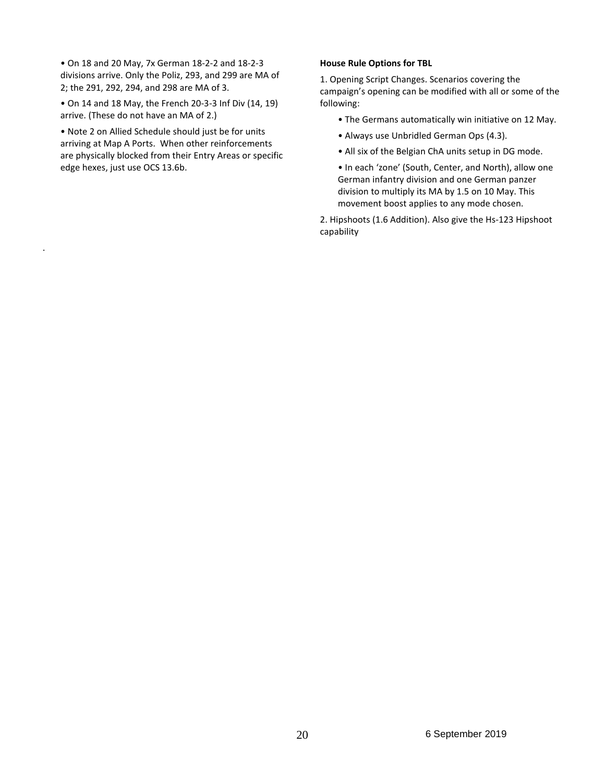• On 18 and 20 May, 7x German 18-2-2 and 18-2-3 divisions arrive. Only the Poliz, 293, and 299 are MA of 2; the 291, 292, 294, and 298 are MA of 3.

• On 14 and 18 May, the French 20-3-3 Inf Div (14, 19) arrive. (These do not have an MA of 2.)

• Note 2 on Allied Schedule should just be for units arriving at Map A Ports. When other reinforcements are physically blocked from their Entry Areas or specific edge hexes, just use OCS 13.6b.

.

## **House Rule Options for TBL**

1. Opening Script Changes. Scenarios covering the campaign's opening can be modified with all or some of the following:

- The Germans automatically win initiative on 12 May.
- Always use Unbridled German Ops (4.3).
- All six of the Belgian ChA units setup in DG mode.

• In each 'zone' (South, Center, and North), allow one German infantry division and one German panzer division to multiply its MA by 1.5 on 10 May. This movement boost applies to any mode chosen.

2. Hipshoots (1.6 Addition). Also give the Hs-123 Hipshoot capability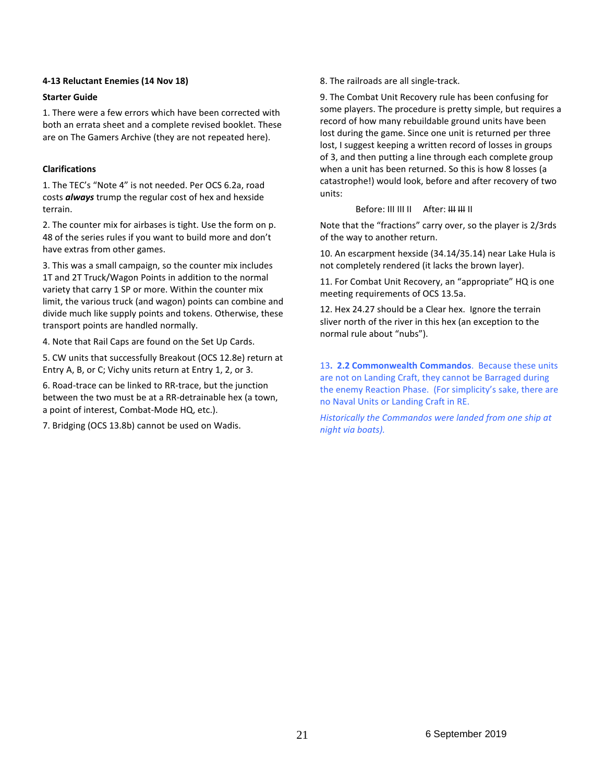## **4-13 Reluctant Enemies (14 Nov 18)**

# **Starter Guide**

1. There were a few errors which have been corrected with both an errata sheet and a complete revised booklet. These are on The Gamers Archive (they are not repeated here).

# **Clarifications**

1. The TEC's "Note 4" is not needed. Per OCS 6.2a, road costs *always* trump the regular cost of hex and hexside terrain.

2. The counter mix for airbases is tight. Use the form on p. 48 of the series rules if you want to build more and don't have extras from other games.

3. This was a small campaign, so the counter mix includes 1T and 2T Truck/Wagon Points in addition to the normal variety that carry 1 SP or more. Within the counter mix limit, the various truck (and wagon) points can combine and divide much like supply points and tokens. Otherwise, these transport points are handled normally.

4. Note that Rail Caps are found on the Set Up Cards.

5. CW units that successfully Breakout (OCS 12.8e) return at Entry A, B, or C; Vichy units return at Entry 1, 2, or 3.

6. Road-trace can be linked to RR-trace, but the junction between the two must be at a RR-detrainable hex (a town, a point of interest, Combat-Mode HQ, etc.).

7. Bridging (OCS 13.8b) cannot be used on Wadis.

8. The railroads are all single-track.

9. The Combat Unit Recovery rule has been confusing for some players. The procedure is pretty simple, but requires a record of how many rebuildable ground units have been lost during the game. Since one unit is returned per three lost, I suggest keeping a written record of losses in groups of 3, and then putting a line through each complete group when a unit has been returned. So this is how 8 losses (a catastrophe!) would look, before and after recovery of two units:

## Before: III III II After: <del>III III</del> II

Note that the "fractions" carry over, so the player is 2/3rds of the way to another return.

10. An escarpment hexside (34.14/35.14) near Lake Hula is not completely rendered (it lacks the brown layer).

11. For Combat Unit Recovery, an "appropriate" HQ is one meeting requirements of OCS 13.5a.

12. Hex 24.27 should be a Clear hex. Ignore the terrain sliver north of the river in this hex (an exception to the normal rule about "nubs").

13**. 2.2 Commonwealth Commandos**. Because these units are not on Landing Craft, they cannot be Barraged during the enemy Reaction Phase. (For simplicity's sake, there are no Naval Units or Landing Craft in RE.

*Historically the Commandos were landed from one ship at night via boats).*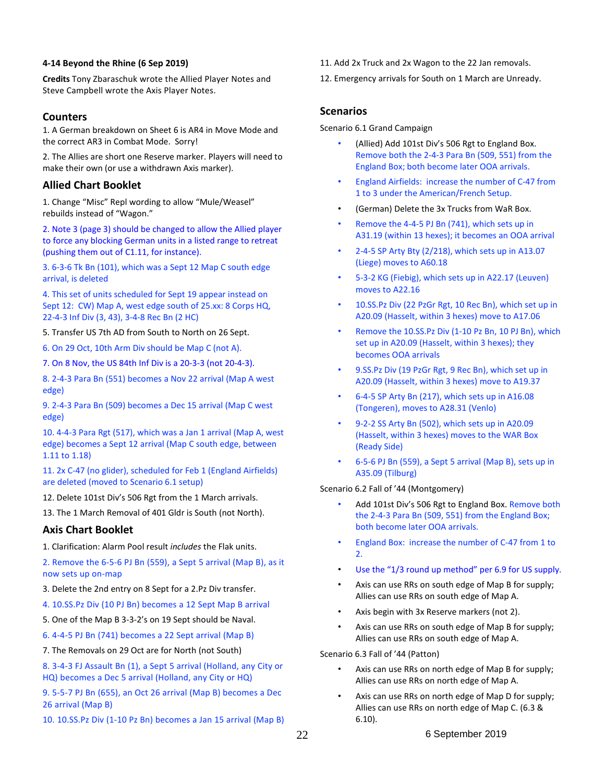# **4-14 Beyond the Rhine (6 Sep 2019)**

**Credits** Tony Zbaraschuk wrote the Allied Player Notes and Steve Campbell wrote the Axis Player Notes.

# **Counters**

1. A German breakdown on Sheet 6 is AR4 in Move Mode and the correct AR3 in Combat Mode. Sorry!

2. The Allies are short one Reserve marker. Players will need to make their own (or use a withdrawn Axis marker).

# **Allied Chart Booklet**

1. Change "Misc" Repl wording to allow "Mule/Weasel" rebuilds instead of "Wagon."

2. Note 3 (page 3) should be changed to allow the Allied player to force any blocking German units in a listed range to retreat (pushing them out of C1.11, for instance).

3. 6-3-6 Tk Bn (101), which was a Sept 12 Map C south edge arrival, is deleted

4. This set of units scheduled for Sept 19 appear instead on Sept 12: CW) Map A, west edge south of 25.xx: 8 Corps HQ, 22-4-3 Inf Div (3, 43), 3-4-8 Rec Bn (2 HC)

5. Transfer US 7th AD from South to North on 26 Sept.

6. On 29 Oct, 10th Arm Div should be Map C (not A).

7. On 8 Nov, the US 84th Inf Div is a 20-3-3 (not 20-4-3).

8. 2-4-3 Para Bn (551) becomes a Nov 22 arrival (Map A west edge)

9. 2-4-3 Para Bn (509) becomes a Dec 15 arrival (Map C west edge)

10. 4-4-3 Para Rgt (517), which was a Jan 1 arrival (Map A, west edge) becomes a Sept 12 arrival (Map C south edge, between 1.11 to 1.18)

11. 2x C-47 (no glider), scheduled for Feb 1 (England Airfields) are deleted (moved to Scenario 6.1 setup)

12. Delete 101st Div's 506 Rgt from the 1 March arrivals.

13. The 1 March Removal of 401 Gldr is South (not North).

# **Axis Chart Booklet**

1. Clarification: Alarm Pool result *includes* the Flak units.

2. Remove the 6-5-6 PJ Bn (559), a Sept 5 arrival (Map B), as it now sets up on-map

- 3. Delete the 2nd entry on 8 Sept for a 2.Pz Div transfer.
- 4. 10.SS.Pz Div (10 PJ Bn) becomes a 12 Sept Map B arrival
- 5. One of the Map B 3-3-2's on 19 Sept should be Naval.
- 6. 4-4-5 PJ Bn (741) becomes a 22 Sept arrival (Map B)
- 7. The Removals on 29 Oct are for North (not South)

8. 3-4-3 FJ Assault Bn (1), a Sept 5 arrival (Holland, any City or HQ) becomes a Dec 5 arrival (Holland, any City or HQ)

9. 5-5-7 PJ Bn (655), an Oct 26 arrival (Map B) becomes a Dec 26 arrival (Map B)

10. 10.SS.Pz Div (1-10 Pz Bn) becomes a Jan 15 arrival (Map B)

- 11. Add 2x Truck and 2x Wagon to the 22 Jan removals.
- 12. Emergency arrivals for South on 1 March are Unready.

# **Scenarios**

Scenario 6.1 Grand Campaign

- (Allied) Add 101st Div's 506 Rgt to England Box. Remove both the 2-4-3 Para Bn (509, 551) from the England Box; both become later OOA arrivals.
- England Airfields: increase the number of C-47 from 1 to 3 under the American/French Setup.
- (German) Delete the 3x Trucks from WaR Box.
- Remove the 4-4-5 PJ Bn (741), which sets up in A31.19 (within 13 hexes); it becomes an OOA arrival
- 2-4-5 SP Arty Bty (2/218), which sets up in A13.07 (Liege) moves to A60.18
- 5-3-2 KG (Fiebig), which sets up in A22.17 (Leuven) moves to A22.16
- 10.SS.Pz Div (22 PzGr Rgt, 10 Rec Bn), which set up in A20.09 (Hasselt, within 3 hexes) move to A17.06
- Remove the 10.SS.Pz Div (1-10 Pz Bn, 10 PJ Bn), which set up in A20.09 (Hasselt, within 3 hexes); they becomes OOA arrivals
- 9.SS.Pz Div (19 PzGr Rgt, 9 Rec Bn), which set up in A20.09 (Hasselt, within 3 hexes) move to A19.37
- 6-4-5 SP Arty Bn (217), which sets up in A16.08 (Tongeren), moves to A28.31 (Venlo)
- 9-2-2 SS Arty Bn (502), which sets up in A20.09 (Hasselt, within 3 hexes) moves to the WAR Box (Ready Side)
- 6-5-6 PJ Bn (559), a Sept 5 arrival (Map B), sets up in A35.09 (Tilburg)

Scenario 6.2 Fall of '44 (Montgomery)

- Add 101st Div's 506 Rgt to England Box. Remove both the 2-4-3 Para Bn (509, 551) from the England Box; both become later OOA arrivals.
- England Box: increase the number of C-47 from 1 to 2.
- Use the "1/3 round up method" per 6.9 for US supply.
- Axis can use RRs on south edge of Map B for supply; Allies can use RRs on south edge of Map A.
- Axis begin with 3x Reserve markers (not 2).
- Axis can use RRs on south edge of Map B for supply; Allies can use RRs on south edge of Map A.

Scenario 6.3 Fall of '44 (Patton)

- Axis can use RRs on north edge of Map B for supply; Allies can use RRs on north edge of Map A.
- Axis can use RRs on north edge of Map D for supply; Allies can use RRs on north edge of Map C. (6.3 & 6.10).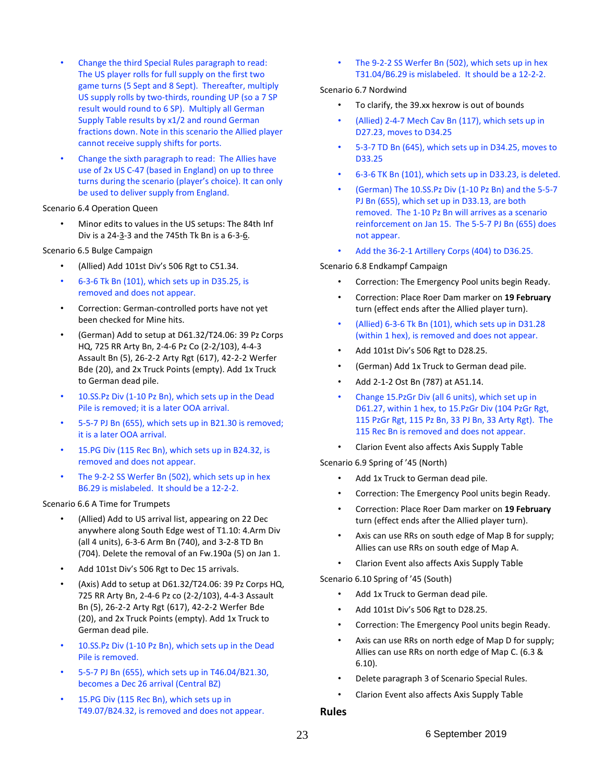- Change the third Special Rules paragraph to read: The US player rolls for full supply on the first two game turns (5 Sept and 8 Sept). Thereafter, multiply US supply rolls by two-thirds, rounding UP (so a 7 SP result would round to 6 SP). Multiply all German Supply Table results by x1/2 and round German fractions down. Note in this scenario the Allied player cannot receive supply shifts for ports.
- Change the sixth paragraph to read: The Allies have use of 2x US C-47 (based in England) on up to three turns during the scenario (player's choice). It can only be used to deliver supply from England.

#### Scenario 6.4 Operation Queen

• Minor edits to values in the US setups: The 84th Inf Div is a 24-3-3 and the 745th Tk Bn is a 6-3-6.

#### Scenario 6.5 Bulge Campaign

- (Allied) Add 101st Div's 506 Rgt to C51.34.
- 6-3-6 Tk Bn (101), which sets up in D35.25, is removed and does not appear.
- Correction: German-controlled ports have not yet been checked for Mine hits.
- (German) Add to setup at D61.32/T24.06: 39 Pz Corps HQ, 725 RR Arty Bn, 2-4-6 Pz Co (2-2/103), 4-4-3 Assault Bn (5), 26-2-2 Arty Rgt (617), 42-2-2 Werfer Bde (20), and 2x Truck Points (empty). Add 1x Truck to German dead pile.
- 10.SS.Pz Div (1-10 Pz Bn), which sets up in the Dead Pile is removed; it is a later OOA arrival.
- 5-5-7 PJ Bn (655), which sets up in B21.30 is removed; it is a later OOA arrival.
- 15.PG Div (115 Rec Bn), which sets up in B24.32, is removed and does not appear.
- The 9-2-2 SS Werfer Bn (502), which sets up in hex B6.29 is mislabeled. It should be a 12-2-2.

#### Scenario 6.6 A Time for Trumpets

- (Allied) Add to US arrival list, appearing on 22 Dec anywhere along South Edge west of T1.10: 4.Arm Div (all 4 units), 6-3-6 Arm Bn (740), and 3-2-8 TD Bn (704). Delete the removal of an Fw.190a (5) on Jan 1.
- Add 101st Div's 506 Rgt to Dec 15 arrivals.
- (Axis) Add to setup at D61.32/T24.06: 39 Pz Corps HQ, 725 RR Arty Bn, 2-4-6 Pz co (2-2/103), 4-4-3 Assault Bn (5), 26-2-2 Arty Rgt (617), 42-2-2 Werfer Bde (20), and 2x Truck Points (empty). Add 1x Truck to German dead pile.
- 10.SS.Pz Div (1-10 Pz Bn), which sets up in the Dead Pile is removed.
- 5-5-7 PJ Bn (655), which sets up in T46.04/B21.30, becomes a Dec 26 arrival (Central BZ)
- 15.PG Div (115 Rec Bn), which sets up in T49.07/B24.32, is removed and does not appear.

The 9-2-2 SS Werfer Bn (502), which sets up in hex T31.04/B6.29 is mislabeled. It should be a 12-2-2.

#### Scenario 6.7 Nordwind

- To clarify, the 39.xx hexrow is out of bounds
- (Allied) 2-4-7 Mech Cav Bn (117), which sets up in D27.23, moves to D34.25
- 5-3-7 TD Bn (645), which sets up in D34.25, moves to D33.25
- 6-3-6 TK Bn (101), which sets up in D33.23, is deleted.
- (German) The 10.SS.Pz Div (1-10 Pz Bn) and the 5-5-7 PJ Bn (655), which set up in D33.13, are both removed. The 1-10 Pz Bn will arrives as a scenario reinforcement on Jan 15. The 5-5-7 PJ Bn (655) does not appear.
- Add the 36-2-1 Artillery Corps (404) to D36.25.

#### Scenario 6.8 Endkampf Campaign

- Correction: The Emergency Pool units begin Ready.
- Correction: Place Roer Dam marker on **19 February** turn (effect ends after the Allied player turn).
- (Allied) 6-3-6 Tk Bn (101), which sets up in D31.28 (within 1 hex), is removed and does not appear.
- Add 101st Div's 506 Rgt to D28.25.
- (German) Add 1x Truck to German dead pile.
- Add 2-1-2 Ost Bn (787) at A51.14.
- Change 15.PzGr Div (all 6 units), which set up in D61.27, within 1 hex, to 15.PzGr Div (104 PzGr Rgt, 115 PzGr Rgt, 115 Pz Bn, 33 PJ Bn, 33 Arty Rgt). The 115 Rec Bn is removed and does not appear.
- Clarion Event also affects Axis Supply Table

Scenario 6.9 Spring of '45 (North)

- Add 1x Truck to German dead pile.
- Correction: The Emergency Pool units begin Ready.
- Correction: Place Roer Dam marker on **19 February** turn (effect ends after the Allied player turn).
- Axis can use RRs on south edge of Map B for supply; Allies can use RRs on south edge of Map A.
- Clarion Event also affects Axis Supply Table

Scenario 6.10 Spring of '45 (South)

- Add 1x Truck to German dead pile.
- Add 101st Div's 506 Rgt to D28.25.
- Correction: The Emergency Pool units begin Ready.
- Axis can use RRs on north edge of Map D for supply; Allies can use RRs on north edge of Map C. (6.3 & 6.10).
- Delete paragraph 3 of Scenario Special Rules.
- Clarion Event also affects Axis Supply Table

# **Rules**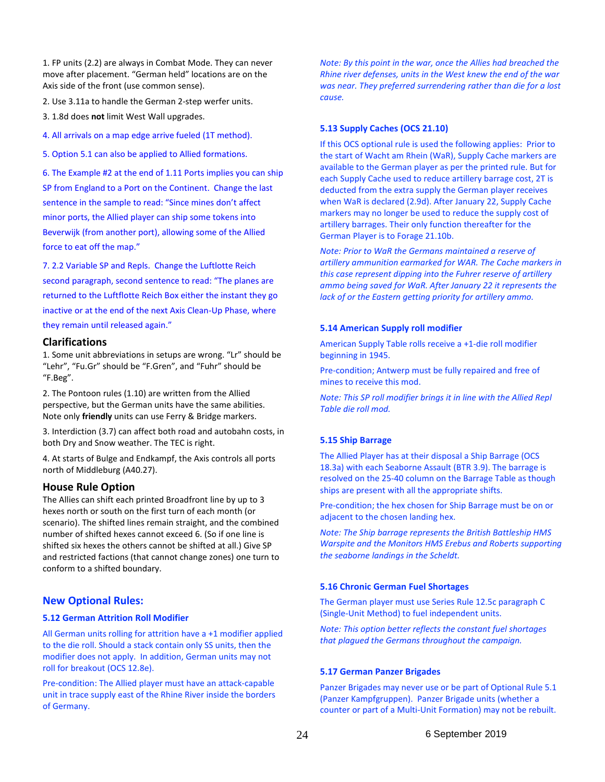1. FP units (2.2) are always in Combat Mode. They can never move after placement. "German held" locations are on the Axis side of the front (use common sense).

- 2. Use 3.11a to handle the German 2-step werfer units.
- 3. 1.8d does **not** limit West Wall upgrades.
- 4. All arrivals on a map edge arrive fueled (1T method).
- 5. Option 5.1 can also be applied to Allied formations.

6. The Example #2 at the end of 1.11 Ports implies you can ship SP from England to a Port on the Continent. Change the last sentence in the sample to read: "Since mines don't affect minor ports, the Allied player can ship some tokens into Beverwijk (from another port), allowing some of the Allied force to eat off the map."

7. 2.2 Variable SP and Repls. Change the Luftlotte Reich second paragraph, second sentence to read: "The planes are returned to the Luftflotte Reich Box either the instant they go inactive or at the end of the next Axis Clean-Up Phase, where they remain until released again."

## **Clarifications**

1. Some unit abbreviations in setups are wrong. "Lr" should be "Lehr", "Fu.Gr" should be "F.Gren", and "Fuhr" should be "F.Beg".

2. The Pontoon rules (1.10) are written from the Allied perspective, but the German units have the same abilities. Note only **friendly** units can use Ferry & Bridge markers.

3. Interdiction (3.7) can affect both road and autobahn costs, in both Dry and Snow weather. The TEC is right.

4. At starts of Bulge and Endkampf, the Axis controls all ports north of Middleburg (A40.27).

#### **House Rule Option**

The Allies can shift each printed Broadfront line by up to 3 hexes north or south on the first turn of each month (or scenario). The shifted lines remain straight, and the combined number of shifted hexes cannot exceed 6. (So if one line is shifted six hexes the others cannot be shifted at all.) Give SP and restricted factions (that cannot change zones) one turn to conform to a shifted boundary.

# **New Optional Rules:**

## **5.12 German Attrition Roll Modifier**

All German units rolling for attrition have a +1 modifier applied to the die roll. Should a stack contain only SS units, then the modifier does not apply. In addition, German units may not roll for breakout (OCS 12.8e).

Pre-condition: The Allied player must have an attack-capable unit in trace supply east of the Rhine River inside the borders of Germany.

*Note: By this point in the war, once the Allies had breached the Rhine river defenses, units in the West knew the end of the war was near. They preferred surrendering rather than die for a lost cause.*

#### **5.13 Supply Caches (OCS 21.10)**

If this OCS optional rule is used the following applies: Prior to the start of Wacht am Rhein (WaR), Supply Cache markers are available to the German player as per the printed rule. But for each Supply Cache used to reduce artillery barrage cost, 2T is deducted from the extra supply the German player receives when WaR is declared (2.9d). After January 22, Supply Cache markers may no longer be used to reduce the supply cost of artillery barrages. Their only function thereafter for the German Player is to Forage 21.10b.

*Note: Prior to WaR the Germans maintained a reserve of artillery ammunition earmarked for WAR. The Cache markers in this case represent dipping into the Fuhrer reserve of artillery ammo being saved for WaR. After January 22 it represents the lack of or the Eastern getting priority for artillery ammo.*

#### **5.14 American Supply roll modifier**

American Supply Table rolls receive a +1-die roll modifier beginning in 1945.

Pre-condition; Antwerp must be fully repaired and free of mines to receive this mod.

*Note: This SP roll modifier brings it in line with the Allied Repl Table die roll mod.*

#### **5.15 Ship Barrage**

The Allied Player has at their disposal a Ship Barrage (OCS 18.3a) with each Seaborne Assault (BTR 3.9). The barrage is resolved on the 25-40 column on the Barrage Table as though ships are present with all the appropriate shifts.

Pre-condition; the hex chosen for Ship Barrage must be on or adjacent to the chosen landing hex.

*Note: The Ship barrage represents the British Battleship HMS Warspite and the Monitors HMS Erebus and Roberts supporting the seaborne landings in the Scheldt.*

## **5.16 Chronic German Fuel Shortages**

The German player must use Series Rule 12.5c paragraph C (Single-Unit Method) to fuel independent units.

*Note: This option better reflects the constant fuel shortages that plagued the Germans throughout the campaign.*

#### **5.17 German Panzer Brigades**

Panzer Brigades may never use or be part of Optional Rule 5.1 (Panzer Kampfgruppen). Panzer Brigade units (whether a counter or part of a Multi-Unit Formation) may not be rebuilt.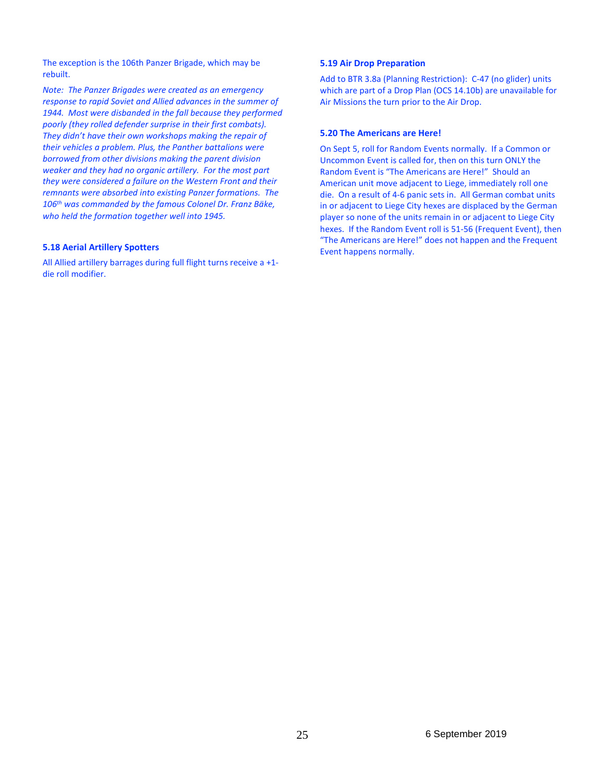The exception is the 106th Panzer Brigade, which may be rebuilt.

*Note: The Panzer Brigades were created as an emergency response to rapid Soviet and Allied advances in the summer of 1944. Most were disbanded in the fall because they performed poorly (they rolled defender surprise in their first combats). They didn't have their own workshops making the repair of their vehicles a problem. Plus, the Panther battalions were borrowed from other divisions making the parent division weaker and they had no organic artillery. For the most part they were considered a failure on the Western Front and their remnants were absorbed into existing Panzer formations. The 106th was commanded by the famous Colonel Dr. Franz Bäke, who held the formation together well into 1945.*

#### **5.18 Aerial Artillery Spotters**

All Allied artillery barrages during full flight turns receive a +1 die roll modifier.

#### **5.19 Air Drop Preparation**

Add to BTR 3.8a (Planning Restriction): C-47 (no glider) units which are part of a Drop Plan (OCS 14.10b) are unavailable for Air Missions the turn prior to the Air Drop.

#### **5.20 The Americans are Here!**

On Sept 5, roll for Random Events normally. If a Common or Uncommon Event is called for, then on this turn ONLY the Random Event is "The Americans are Here!" Should an American unit move adjacent to Liege, immediately roll one die. On a result of 4-6 panic sets in. All German combat units in or adjacent to Liege City hexes are displaced by the German player so none of the units remain in or adjacent to Liege City hexes. If the Random Event roll is 51-56 (Frequent Event), then "The Americans are Here!" does not happen and the Frequent Event happens normally.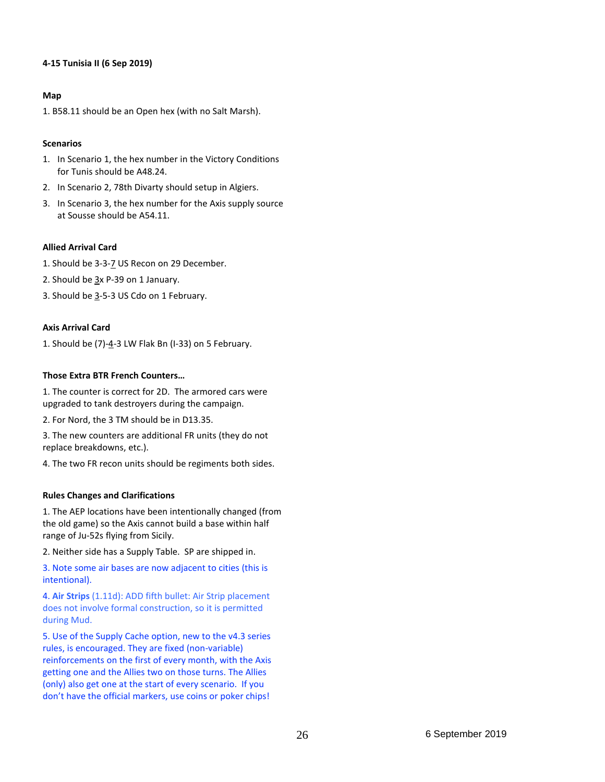# **4-15 Tunisia II (6 Sep 2019)**

# **Map**

1. B58.11 should be an Open hex (with no Salt Marsh).

# **Scenarios**

- 1. In Scenario 1, the hex number in the Victory Conditions for Tunis should be A48.24.
- 2. In Scenario 2, 78th Divarty should setup in Algiers.
- 3. In Scenario 3, the hex number for the Axis supply source at Sousse should be A54.11.

# **Allied Arrival Card**

- 1. Should be 3-3-7 US Recon on 29 December.
- 2. Should be  $3x$  P-39 on 1 January.
- 3. Should be 3-5-3 US Cdo on 1 February.

# **Axis Arrival Card**

1. Should be  $(7)-4-3$  LW Flak Bn (I-33) on 5 February.

# **Those Extra BTR French Counters…**

1. The counter is correct for 2D. The armored cars were upgraded to tank destroyers during the campaign.

2. For Nord, the 3 TM should be in D13.35.

3. The new counters are additional FR units (they do not replace breakdowns, etc.).

4. The two FR recon units should be regiments both sides.

# **Rules Changes and Clarifications**

1. The AEP locations have been intentionally changed (from the old game) so the Axis cannot build a base within half range of Ju-52s flying from Sicily.

2. Neither side has a Supply Table. SP are shipped in.

3. Note some air bases are now adjacent to cities (this is intentional).

4. **Air Strips** (1.11d): ADD fifth bullet: Air Strip placement does not involve formal construction, so it is permitted during Mud.

5. Use of the Supply Cache option, new to the v4.3 series rules, is encouraged. They are fixed (non-variable) reinforcements on the first of every month, with the Axis getting one and the Allies two on those turns. The Allies (only) also get one at the start of every scenario. If you don't have the official markers, use coins or poker chips!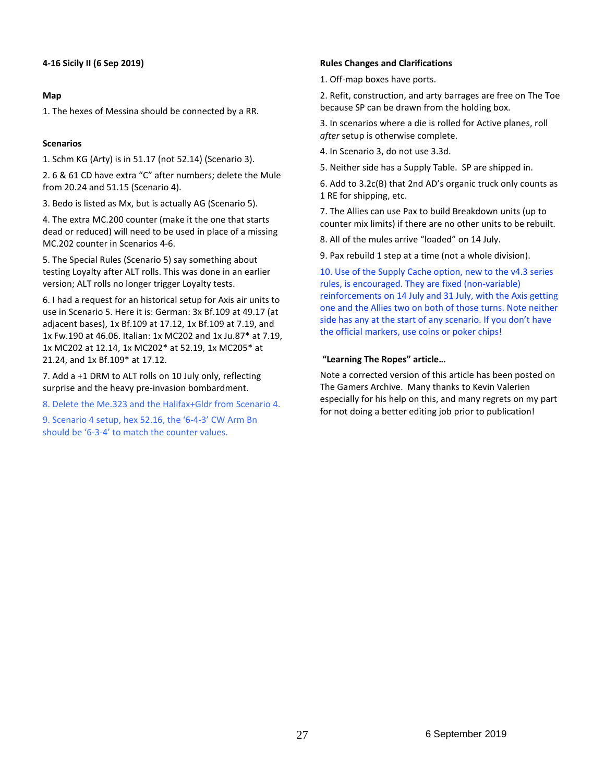# **4-16 Sicily II (6 Sep 2019)**

# **Map**

1. The hexes of Messina should be connected by a RR.

# **Scenarios**

1. Schm KG (Arty) is in 51.17 (not 52.14) (Scenario 3).

2. 6 & 61 CD have extra "C" after numbers; delete the Mule from 20.24 and 51.15 (Scenario 4).

3. Bedo is listed as Mx, but is actually AG (Scenario 5).

4. The extra MC.200 counter (make it the one that starts dead or reduced) will need to be used in place of a missing MC.202 counter in Scenarios 4-6.

5. The Special Rules (Scenario 5) say something about testing Loyalty after ALT rolls. This was done in an earlier version; ALT rolls no longer trigger Loyalty tests.

6. I had a request for an historical setup for Axis air units to use in Scenario 5. Here it is: German: 3x Bf.109 at 49.17 (at adjacent bases), 1x Bf.109 at 17.12, 1x Bf.109 at 7.19, and 1x Fw.190 at 46.06. Italian: 1x MC202 and 1x Ju.87\* at 7.19, 1x MC202 at 12.14, 1x MC202\* at 52.19, 1x MC205\* at 21.24, and 1x Bf.109\* at 17.12.

7. Add a +1 DRM to ALT rolls on 10 July only, reflecting surprise and the heavy pre-invasion bombardment.

8. Delete the Me.323 and the Halifax+Gldr from Scenario 4.

9. Scenario 4 setup, hex 52.16, the '6-4-3' CW Arm Bn should be '6-3-4' to match the counter values.

# **Rules Changes and Clarifications**

1. Off-map boxes have ports.

2. Refit, construction, and arty barrages are free on The Toe because SP can be drawn from the holding box.

3. In scenarios where a die is rolled for Active planes, roll *after* setup is otherwise complete.

4. In Scenario 3, do not use 3.3d.

5. Neither side has a Supply Table. SP are shipped in.

6. Add to 3.2c(B) that 2nd AD's organic truck only counts as 1 RE for shipping, etc.

7. The Allies can use Pax to build Breakdown units (up to counter mix limits) if there are no other units to be rebuilt.

8. All of the mules arrive "loaded" on 14 July.

9. Pax rebuild 1 step at a time (not a whole division).

10. Use of the Supply Cache option, new to the v4.3 series rules, is encouraged. They are fixed (non-variable) reinforcements on 14 July and 31 July, with the Axis getting one and the Allies two on both of those turns. Note neither side has any at the start of any scenario. If you don't have the official markers, use coins or poker chips!

# **"Learning The Ropes" article…**

Note a corrected version of this article has been posted on The Gamers Archive. Many thanks to Kevin Valerien especially for his help on this, and many regrets on my part for not doing a better editing job prior to publication!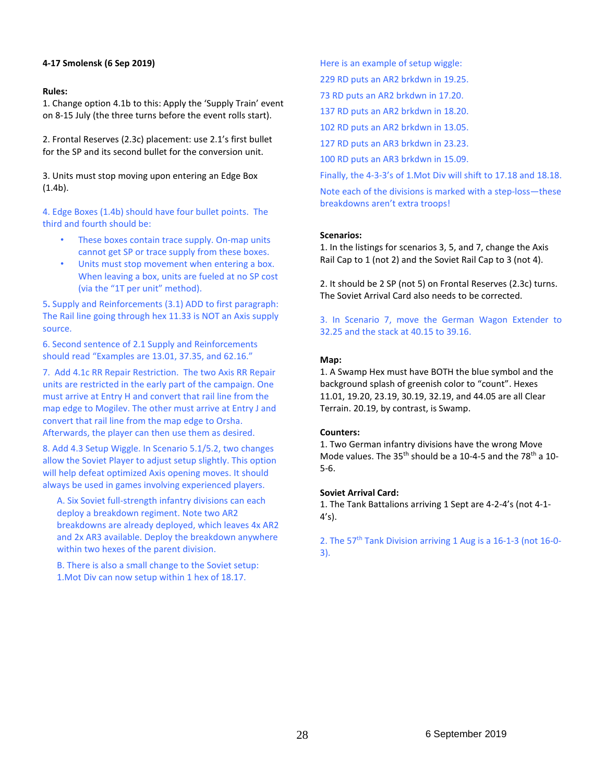# **4-17 Smolensk (6 Sep 2019)**

# **Rules:**

1. Change option 4.1b to this: Apply the 'Supply Train' event on 8-15 July (the three turns before the event rolls start).

2. Frontal Reserves (2.3c) placement: use 2.1's first bullet for the SP and its second bullet for the conversion unit.

3. Units must stop moving upon entering an Edge Box (1.4b).

4. Edge Boxes (1.4b) should have four bullet points. The third and fourth should be:

- These boxes contain trace supply. On-map units cannot get SP or trace supply from these boxes.
- Units must stop movement when entering a box. When leaving a box, units are fueled at no SP cost (via the "1T per unit" method).

5**.** Supply and Reinforcements (3.1) ADD to first paragraph: The Rail line going through hex 11.33 is NOT an Axis supply source.

6. Second sentence of 2.1 Supply and Reinforcements should read "Examples are 13.01, 37.35, and 62.16."

7. Add 4.1c RR Repair Restriction. The two Axis RR Repair units are restricted in the early part of the campaign. One must arrive at Entry H and convert that rail line from the map edge to Mogilev. The other must arrive at Entry J and convert that rail line from the map edge to Orsha. Afterwards, the player can then use them as desired.

8. Add 4.3 Setup Wiggle. In Scenario 5.1/5.2, two changes allow the Soviet Player to adjust setup slightly. This option will help defeat optimized Axis opening moves. It should always be used in games involving experienced players.

A. Six Soviet full-strength infantry divisions can each deploy a breakdown regiment. Note two AR2 breakdowns are already deployed, which leaves 4x AR2 and 2x AR3 available. Deploy the breakdown anywhere within two hexes of the parent division.

B. There is also a small change to the Soviet setup: 1.Mot Div can now setup within 1 hex of 18.17.

Here is an example of setup wiggle:

229 RD puts an AR2 brkdwn in 19.25.

73 RD puts an AR2 brkdwn in 17.20.

137 RD puts an AR2 brkdwn in 18.20.

102 RD puts an AR2 brkdwn in 13.05.

127 RD puts an AR3 brkdwn in 23.23.

100 RD puts an AR3 brkdwn in 15.09.

Finally, the 4-3-3's of 1.Mot Div will shift to 17.18 and 18.18.

Note each of the divisions is marked with a step-loss—these breakdowns aren't extra troops!

# **Scenarios:**

1. In the listings for scenarios 3, 5, and 7, change the Axis Rail Cap to 1 (not 2) and the Soviet Rail Cap to 3 (not 4).

2. It should be 2 SP (not 5) on Frontal Reserves (2.3c) turns. The Soviet Arrival Card also needs to be corrected.

3. In Scenario 7, move the German Wagon Extender to 32.25 and the stack at 40.15 to 39.16.

## **Map:**

1. A Swamp Hex must have BOTH the blue symbol and the background splash of greenish color to "count". Hexes 11.01, 19.20, 23.19, 30.19, 32.19, and 44.05 are all Clear Terrain. 20.19, by contrast, is Swamp.

# **Counters:**

1. Two German infantry divisions have the wrong Move Mode values. The  $35<sup>th</sup>$  should be a 10-4-5 and the 78<sup>th</sup> a 10-5-6.

#### **Soviet Arrival Card:**

1. The Tank Battalions arriving 1 Sept are 4-2-4's (not 4-1- 4's).

2. The 57<sup>th</sup> Tank Division arriving 1 Aug is a 16-1-3 (not 16-0-3).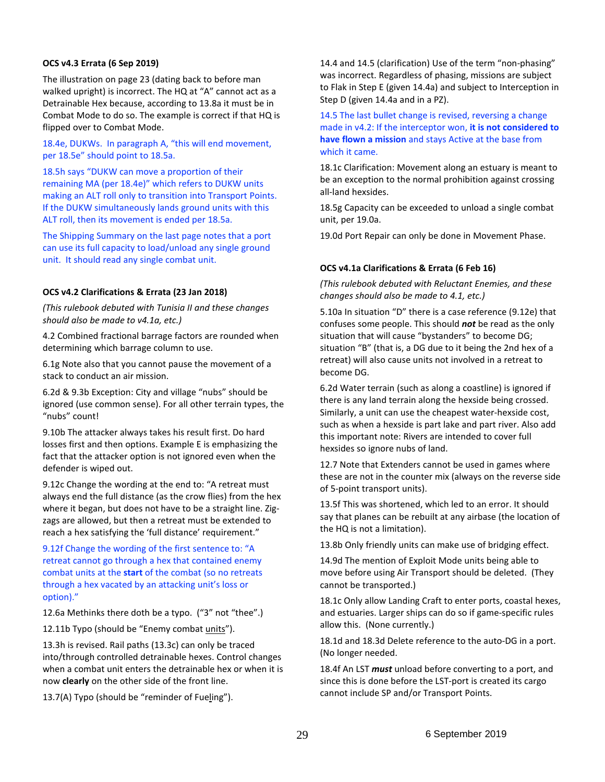# **OCS v4.3 Errata (6 Sep 2019)**

The illustration on page 23 (dating back to before man walked upright) is incorrect. The HQ at "A" cannot act as a Detrainable Hex because, according to 13.8a it must be in Combat Mode to do so. The example is correct if that HQ is flipped over to Combat Mode.

18.4e, DUKWs. In paragraph A, "this will end movement, per 18.5e" should point to 18.5a.

18.5h says "DUKW can move a proportion of their remaining MA (per 18.4e)" which refers to DUKW units making an ALT roll only to transition into Transport Points. If the DUKW simultaneously lands ground units with this ALT roll, then its movement is ended per 18.5a.

The Shipping Summary on the last page notes that a port can use its full capacity to load/unload any single ground unit. It should read any single combat unit.

#### **OCS v4.2 Clarifications & Errata (23 Jan 2018)**

*(This rulebook debuted with Tunisia II and these changes should also be made to v4.1a, etc.)*

4.2 Combined fractional barrage factors are rounded when determining which barrage column to use.

6.1g Note also that you cannot pause the movement of a stack to conduct an air mission.

6.2d & 9.3b Exception: City and village "nubs" should be ignored (use common sense). For all other terrain types, the "nubs" count!

9.10b The attacker always takes his result first. Do hard losses first and then options. Example E is emphasizing the fact that the attacker option is not ignored even when the defender is wiped out.

9.12c Change the wording at the end to: "A retreat must always end the full distance (as the crow flies) from the hex where it began, but does not have to be a straight line. Zigzags are allowed, but then a retreat must be extended to reach a hex satisfying the 'full distance' requirement."

9.12f Change the wording of the first sentence to: "A retreat cannot go through a hex that contained enemy combat units at the **start** of the combat (so no retreats through a hex vacated by an attacking unit's loss or option)."

12.6a Methinks there doth be a typo. ("3" not "thee".)

12.11b Typo (should be "Enemy combat units").

13.3h is revised. Rail paths (13.3c) can only be traced into/through controlled detrainable hexes. Control changes when a combat unit enters the detrainable hex or when it is now **clearly** on the other side of the front line.

13.7(A) Typo (should be "reminder of Fueling").

14.4 and 14.5 (clarification) Use of the term "non-phasing" was incorrect. Regardless of phasing, missions are subject to Flak in Step E (given 14.4a) and subject to Interception in Step D (given 14.4a and in a PZ).

14.5 The last bullet change is revised, reversing a change made in v4.2: If the interceptor won, **it is not considered to have flown a mission** and stays Active at the base from which it came.

18.1c Clarification: Movement along an estuary is meant to be an exception to the normal prohibition against crossing all-land hexsides.

18.5g Capacity can be exceeded to unload a single combat unit, per 19.0a.

19.0d Port Repair can only be done in Movement Phase.

# **OCS v4.1a Clarifications & Errata (6 Feb 16)**

*(This rulebook debuted with Reluctant Enemies, and these changes should also be made to 4.1, etc.)*

5.10a In situation "D" there is a case reference (9.12e) that confuses some people. This should *not* be read as the only situation that will cause "bystanders" to become DG; situation "B" (that is, a DG due to it being the 2nd hex of a retreat) will also cause units not involved in a retreat to become DG.

6.2d Water terrain (such as along a coastline) is ignored if there is any land terrain along the hexside being crossed. Similarly, a unit can use the cheapest water-hexside cost, such as when a hexside is part lake and part river. Also add this important note: Rivers are intended to cover full hexsides so ignore nubs of land.

12.7 Note that Extenders cannot be used in games where these are not in the counter mix (always on the reverse side of 5-point transport units).

13.5f This was shortened, which led to an error. It should say that planes can be rebuilt at any airbase (the location of the HQ is not a limitation).

13.8b Only friendly units can make use of bridging effect.

14.9d The mention of Exploit Mode units being able to move before using Air Transport should be deleted. (They cannot be transported.)

18.1c Only allow Landing Craft to enter ports, coastal hexes, and estuaries. Larger ships can do so if game-specific rules allow this. (None currently.)

18.1d and 18.3d Delete reference to the auto-DG in a port. (No longer needed.

18.4f An LST *must* unload before converting to a port, and since this is done before the LST-port is created its cargo cannot include SP and/or Transport Points.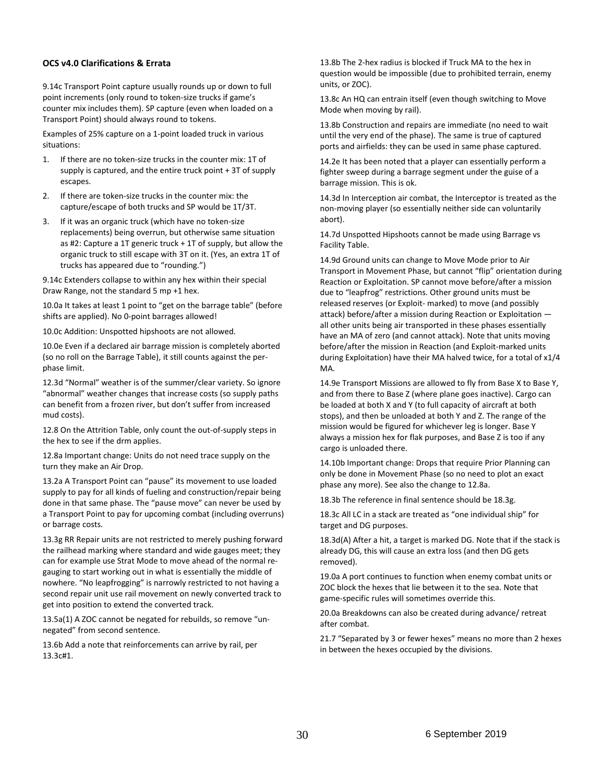#### **OCS v4.0 Clarifications & Errata**

9.14c Transport Point capture usually rounds up or down to full point increments (only round to token-size trucks if game's counter mix includes them). SP capture (even when loaded on a Transport Point) should always round to tokens.

Examples of 25% capture on a 1-point loaded truck in various situations:

- 1. If there are no token-size trucks in the counter mix: 1T of supply is captured, and the entire truck point + 3T of supply escapes.
- 2. If there are token-size trucks in the counter mix: the capture/escape of both trucks and SP would be 1T/3T.
- 3. If it was an organic truck (which have no token-size replacements) being overrun, but otherwise same situation as #2: Capture a 1T generic truck + 1T of supply, but allow the organic truck to still escape with 3T on it. (Yes, an extra 1T of trucks has appeared due to "rounding.")

9.14c Extenders collapse to within any hex within their special Draw Range, not the standard 5 mp +1 hex.

10.0a It takes at least 1 point to "get on the barrage table" (before shifts are applied). No 0-point barrages allowed!

10.0c Addition: Unspotted hipshoots are not allowed.

10.0e Even if a declared air barrage mission is completely aborted (so no roll on the Barrage Table), it still counts against the perphase limit.

12.3d "Normal" weather is of the summer/clear variety. So ignore "abnormal" weather changes that increase costs (so supply paths can benefit from a frozen river, but don't suffer from increased mud costs).

12.8 On the Attrition Table, only count the out-of-supply steps in the hex to see if the drm applies.

12.8a Important change: Units do not need trace supply on the turn they make an Air Drop.

13.2a A Transport Point can "pause" its movement to use loaded supply to pay for all kinds of fueling and construction/repair being done in that same phase. The "pause move" can never be used by a Transport Point to pay for upcoming combat (including overruns) or barrage costs.

13.3g RR Repair units are not restricted to merely pushing forward the railhead marking where standard and wide gauges meet; they can for example use Strat Mode to move ahead of the normal regauging to start working out in what is essentially the middle of nowhere. "No leapfrogging" is narrowly restricted to not having a second repair unit use rail movement on newly converted track to get into position to extend the converted track.

13.5a(1) A ZOC cannot be negated for rebuilds, so remove "unnegated" from second sentence.

13.6b Add a note that reinforcements can arrive by rail, per 13.3c#1.

13.8b The 2-hex radius is blocked if Truck MA to the hex in question would be impossible (due to prohibited terrain, enemy units, or ZOC).

13.8c An HQ can entrain itself (even though switching to Move Mode when moving by rail).

13.8b Construction and repairs are immediate (no need to wait until the very end of the phase). The same is true of captured ports and airfields: they can be used in same phase captured.

14.2e It has been noted that a player can essentially perform a fighter sweep during a barrage segment under the guise of a barrage mission. This is ok.

14.3d In Interception air combat, the Interceptor is treated as the non-moving player (so essentially neither side can voluntarily abort).

14.7d Unspotted Hipshoots cannot be made using Barrage vs Facility Table.

14.9d Ground units can change to Move Mode prior to Air Transport in Movement Phase, but cannot "flip" orientation during Reaction or Exploitation. SP cannot move before/after a mission due to "leapfrog" restrictions. Other ground units must be released reserves (or Exploit- marked) to move (and possibly attack) before/after a mission during Reaction or Exploitation all other units being air transported in these phases essentially have an MA of zero (and cannot attack). Note that units moving before/after the mission in Reaction (and Exploit-marked units during Exploitation) have their MA halved twice, for a total of x1/4 MA.

14.9e Transport Missions are allowed to fly from Base X to Base Y, and from there to Base Z (where plane goes inactive). Cargo can be loaded at both X and Y (to full capacity of aircraft at both stops), and then be unloaded at both Y and Z. The range of the mission would be figured for whichever leg is longer. Base Y always a mission hex for flak purposes, and Base Z is too if any cargo is unloaded there.

14.10b Important change: Drops that require Prior Planning can only be done in Movement Phase (so no need to plot an exact phase any more). See also the change to 12.8a.

18.3b The reference in final sentence should be 18.3g.

18.3c All LC in a stack are treated as "one individual ship" for target and DG purposes.

18.3d(A) After a hit, a target is marked DG. Note that if the stack is already DG, this will cause an extra loss (and then DG gets removed).

19.0a A port continues to function when enemy combat units or ZOC block the hexes that lie between it to the sea. Note that game-specific rules will sometimes override this.

20.0a Breakdowns can also be created during advance/ retreat after combat.

21.7 "Separated by 3 or fewer hexes" means no more than 2 hexes in between the hexes occupied by the divisions.